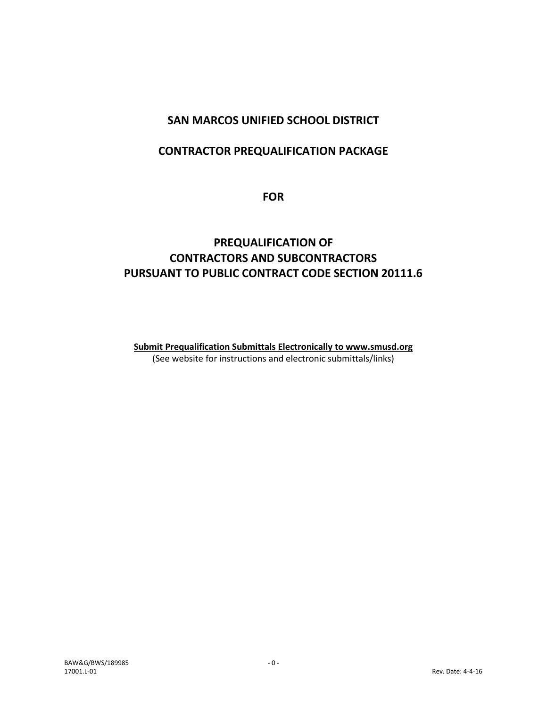## **SAN MARCOS UNIFIED SCHOOL DISTRICT**

## **CONTRACTOR PREQUALIFICATION PACKAGE**

**FOR** 

## **PREQUALIFICATION OF CONTRACTORS AND SUBCONTRACTORS PURSUANT TO PUBLIC CONTRACT CODE SECTION 20111.6**

**Submit Prequalification Submittals Electronically to www.smusd.org** (See website for instructions and electronic submittals/links)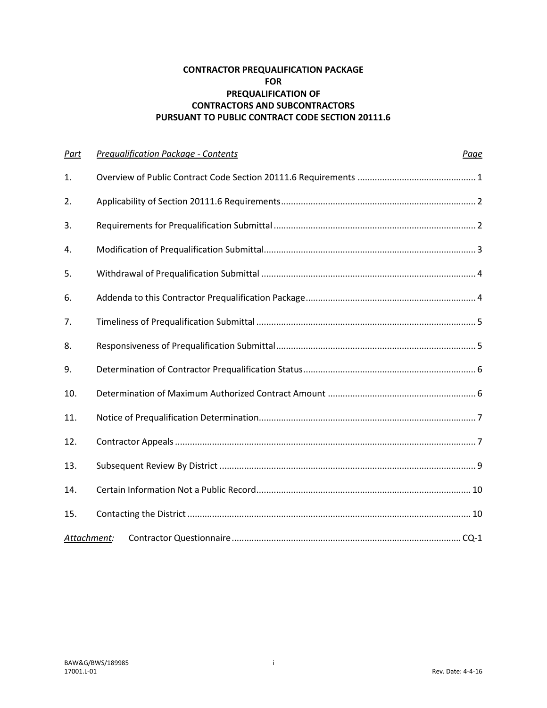#### **CONTRACTOR PREQUALIFICATION PACKAGE FOR PREQUALIFICATION OF CONTRACTORS AND SUBCONTRACTORS PURSUANT TO PUBLIC CONTRACT CODE SECTION 20111.6**

| Part | <b>Prequalification Package - Contents</b> | Page |
|------|--------------------------------------------|------|
| 1.   |                                            |      |
| 2.   |                                            |      |
| 3.   |                                            |      |
| 4.   |                                            |      |
| 5.   |                                            |      |
| 6.   |                                            |      |
| 7.   |                                            |      |
| 8.   |                                            |      |
| 9.   |                                            |      |
| 10.  |                                            |      |
| 11.  |                                            |      |
| 12.  |                                            |      |
| 13.  |                                            |      |
| 14.  |                                            |      |
| 15.  |                                            |      |
|      | Attachment:                                |      |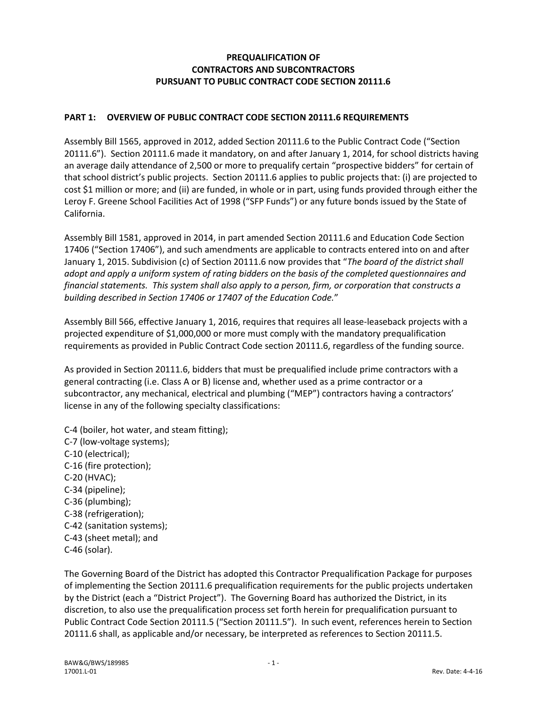#### **PREQUALIFICATION OF CONTRACTORS AND SUBCONTRACTORS PURSUANT TO PUBLIC CONTRACT CODE SECTION 20111.6**

#### **PART 1: OVERVIEW OF PUBLIC CONTRACT CODE SECTION 20111.6 REQUIREMENTS**

Assembly Bill 1565, approved in 2012, added Section 20111.6 to the Public Contract Code ("Section 20111.6"). Section 20111.6 made it mandatory, on and after January 1, 2014, for school districts having an average daily attendance of 2,500 or more to prequalify certain "prospective bidders" for certain of that school district's public projects. Section 20111.6 applies to public projects that: (i) are projected to cost \$1 million or more; and (ii) are funded, in whole or in part, using funds provided through either the Leroy F. Greene School Facilities Act of 1998 ("SFP Funds") or any future bonds issued by the State of California.

Assembly Bill 1581, approved in 2014, in part amended Section 20111.6 and Education Code Section 17406 ("Section 17406"), and such amendments are applicable to contracts entered into on and after January 1, 2015. Subdivision (c) of Section 20111.6 now provides that "*The board of the district shall adopt and apply a uniform system of rating bidders on the basis of the completed questionnaires and financial statements. This system shall also apply to a person, firm, or corporation that constructs a building described in Section 17406 or 17407 of the Education Code.*"

Assembly Bill 566, effective January 1, 2016, requires that requires all lease-leaseback projects with a projected expenditure of \$1,000,000 or more must comply with the mandatory prequalification requirements as provided in Public Contract Code section 20111.6, regardless of the funding source.

As provided in Section 20111.6, bidders that must be prequalified include prime contractors with a general contracting (i.e. Class A or B) license and, whether used as a prime contractor or a subcontractor, any mechanical, electrical and plumbing ("MEP") contractors having a contractors' license in any of the following specialty classifications:

C-4 (boiler, hot water, and steam fitting); C-7 (low-voltage systems); C-10 (electrical); C-16 (fire protection); C-20 (HVAC); C-34 (pipeline); C-36 (plumbing); C-38 (refrigeration); C-42 (sanitation systems); C-43 (sheet metal); and C-46 (solar).

The Governing Board of the District has adopted this Contractor Prequalification Package for purposes of implementing the Section 20111.6 prequalification requirements for the public projects undertaken by the District (each a "District Project"). The Governing Board has authorized the District, in its discretion, to also use the prequalification process set forth herein for prequalification pursuant to Public Contract Code Section 20111.5 ("Section 20111.5"). In such event, references herein to Section 20111.6 shall, as applicable and/or necessary, be interpreted as references to Section 20111.5.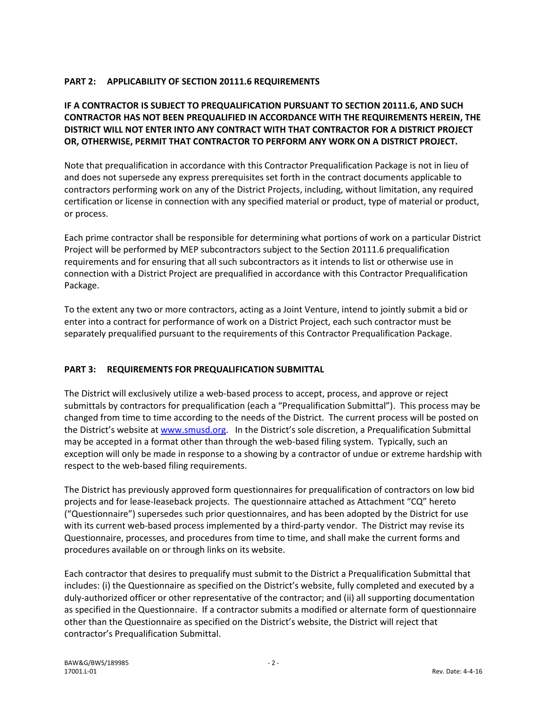#### **PART 2: APPLICABILITY OF SECTION 20111.6 REQUIREMENTS**

#### **IF A CONTRACTOR IS SUBJECT TO PREQUALIFICATION PURSUANT TO SECTION 20111.6, AND SUCH CONTRACTOR HAS NOT BEEN PREQUALIFIED IN ACCORDANCE WITH THE REQUIREMENTS HEREIN, THE DISTRICT WILL NOT ENTER INTO ANY CONTRACT WITH THAT CONTRACTOR FOR A DISTRICT PROJECT OR, OTHERWISE, PERMIT THAT CONTRACTOR TO PERFORM ANY WORK ON A DISTRICT PROJECT.**

Note that prequalification in accordance with this Contractor Prequalification Package is not in lieu of and does not supersede any express prerequisites set forth in the contract documents applicable to contractors performing work on any of the District Projects, including, without limitation, any required certification or license in connection with any specified material or product, type of material or product, or process.

Each prime contractor shall be responsible for determining what portions of work on a particular District Project will be performed by MEP subcontractors subject to the Section 20111.6 prequalification requirements and for ensuring that all such subcontractors as it intends to list or otherwise use in connection with a District Project are prequalified in accordance with this Contractor Prequalification Package.

To the extent any two or more contractors, acting as a Joint Venture, intend to jointly submit a bid or enter into a contract for performance of work on a District Project, each such contractor must be separately prequalified pursuant to the requirements of this Contractor Prequalification Package.

#### **PART 3: REQUIREMENTS FOR PREQUALIFICATION SUBMITTAL**

The District will exclusively utilize a web-based process to accept, process, and approve or reject submittals by contractors for prequalification (each a "Prequalification Submittal"). This process may be changed from time to time according to the needs of the District. The current process will be posted on the District's website at www.smusd.org. In the District's sole discretion, a Prequalification Submittal may be accepted in a format other than through the web-based filing system. Typically, such an exception will only be made in response to a showing by a contractor of undue or extreme hardship with respect to the web-based filing requirements.

The District has previously approved form questionnaires for prequalification of contractors on low bid projects and for lease-leaseback projects. The questionnaire attached as Attachment "CQ" hereto ("Questionnaire") supersedes such prior questionnaires, and has been adopted by the District for use with its current web-based process implemented by a third-party vendor. The District may revise its Questionnaire, processes, and procedures from time to time, and shall make the current forms and procedures available on or through links on its website.

Each contractor that desires to prequalify must submit to the District a Prequalification Submittal that includes: (i) the Questionnaire as specified on the District's website, fully completed and executed by a duly-authorized officer or other representative of the contractor; and (ii) all supporting documentation as specified in the Questionnaire. If a contractor submits a modified or alternate form of questionnaire other than the Questionnaire as specified on the District's website, the District will reject that contractor's Prequalification Submittal.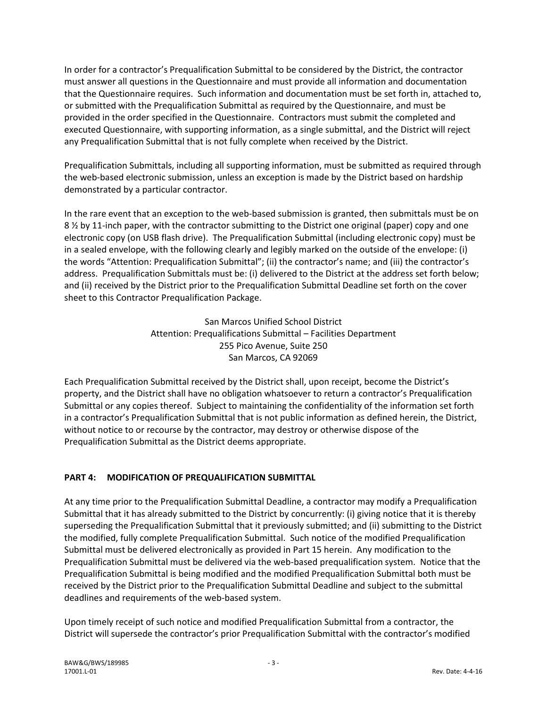In order for a contractor's Prequalification Submittal to be considered by the District, the contractor must answer all questions in the Questionnaire and must provide all information and documentation that the Questionnaire requires. Such information and documentation must be set forth in, attached to, or submitted with the Prequalification Submittal as required by the Questionnaire, and must be provided in the order specified in the Questionnaire. Contractors must submit the completed and executed Questionnaire, with supporting information, as a single submittal, and the District will reject any Prequalification Submittal that is not fully complete when received by the District.

Prequalification Submittals, including all supporting information, must be submitted as required through the web-based electronic submission, unless an exception is made by the District based on hardship demonstrated by a particular contractor.

In the rare event that an exception to the web-based submission is granted, then submittals must be on 8 ½ by 11-inch paper, with the contractor submitting to the District one original (paper) copy and one electronic copy (on USB flash drive). The Prequalification Submittal (including electronic copy) must be in a sealed envelope, with the following clearly and legibly marked on the outside of the envelope: (i) the words "Attention: Prequalification Submittal"; (ii) the contractor's name; and (iii) the contractor's address. Prequalification Submittals must be: (i) delivered to the District at the address set forth below; and (ii) received by the District prior to the Prequalification Submittal Deadline set forth on the cover sheet to this Contractor Prequalification Package.

> San Marcos Unified School District Attention: Prequalifications Submittal – Facilities Department 255 Pico Avenue, Suite 250 San Marcos, CA 92069

Each Prequalification Submittal received by the District shall, upon receipt, become the District's property, and the District shall have no obligation whatsoever to return a contractor's Prequalification Submittal or any copies thereof. Subject to maintaining the confidentiality of the information set forth in a contractor's Prequalification Submittal that is not public information as defined herein, the District, without notice to or recourse by the contractor, may destroy or otherwise dispose of the Prequalification Submittal as the District deems appropriate.

## **PART 4: MODIFICATION OF PREQUALIFICATION SUBMITTAL**

At any time prior to the Prequalification Submittal Deadline, a contractor may modify a Prequalification Submittal that it has already submitted to the District by concurrently: (i) giving notice that it is thereby superseding the Prequalification Submittal that it previously submitted; and (ii) submitting to the District the modified, fully complete Prequalification Submittal. Such notice of the modified Prequalification Submittal must be delivered electronically as provided in Part 15 herein. Any modification to the Prequalification Submittal must be delivered via the web-based prequalification system. Notice that the Prequalification Submittal is being modified and the modified Prequalification Submittal both must be received by the District prior to the Prequalification Submittal Deadline and subject to the submittal deadlines and requirements of the web-based system.

Upon timely receipt of such notice and modified Prequalification Submittal from a contractor, the District will supersede the contractor's prior Prequalification Submittal with the contractor's modified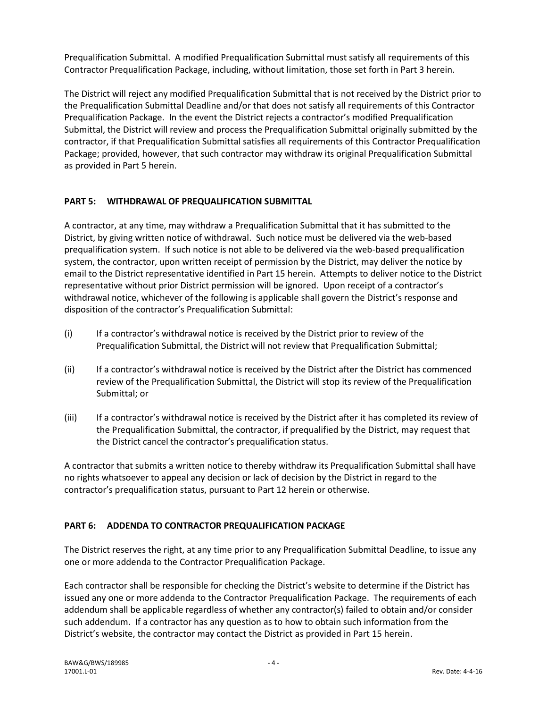Prequalification Submittal. A modified Prequalification Submittal must satisfy all requirements of this Contractor Prequalification Package, including, without limitation, those set forth in Part 3 herein.

The District will reject any modified Prequalification Submittal that is not received by the District prior to the Prequalification Submittal Deadline and/or that does not satisfy all requirements of this Contractor Prequalification Package. In the event the District rejects a contractor's modified Prequalification Submittal, the District will review and process the Prequalification Submittal originally submitted by the contractor, if that Prequalification Submittal satisfies all requirements of this Contractor Prequalification Package; provided, however, that such contractor may withdraw its original Prequalification Submittal as provided in Part 5 herein.

### **PART 5: WITHDRAWAL OF PREQUALIFICATION SUBMITTAL**

A contractor, at any time, may withdraw a Prequalification Submittal that it has submitted to the District, by giving written notice of withdrawal. Such notice must be delivered via the web-based prequalification system. If such notice is not able to be delivered via the web-based prequalification system, the contractor, upon written receipt of permission by the District, may deliver the notice by email to the District representative identified in Part 15 herein. Attempts to deliver notice to the District representative without prior District permission will be ignored. Upon receipt of a contractor's withdrawal notice, whichever of the following is applicable shall govern the District's response and disposition of the contractor's Prequalification Submittal:

- (i) If a contractor's withdrawal notice is received by the District prior to review of the Prequalification Submittal, the District will not review that Prequalification Submittal;
- (ii) If a contractor's withdrawal notice is received by the District after the District has commenced review of the Prequalification Submittal, the District will stop its review of the Prequalification Submittal; or
- (iii) If a contractor's withdrawal notice is received by the District after it has completed its review of the Prequalification Submittal, the contractor, if prequalified by the District, may request that the District cancel the contractor's prequalification status.

A contractor that submits a written notice to thereby withdraw its Prequalification Submittal shall have no rights whatsoever to appeal any decision or lack of decision by the District in regard to the contractor's prequalification status, pursuant to Part 12 herein or otherwise.

## **PART 6: ADDENDA TO CONTRACTOR PREQUALIFICATION PACKAGE**

The District reserves the right, at any time prior to any Prequalification Submittal Deadline, to issue any one or more addenda to the Contractor Prequalification Package.

Each contractor shall be responsible for checking the District's website to determine if the District has issued any one or more addenda to the Contractor Prequalification Package. The requirements of each addendum shall be applicable regardless of whether any contractor(s) failed to obtain and/or consider such addendum. If a contractor has any question as to how to obtain such information from the District's website, the contractor may contact the District as provided in Part 15 herein.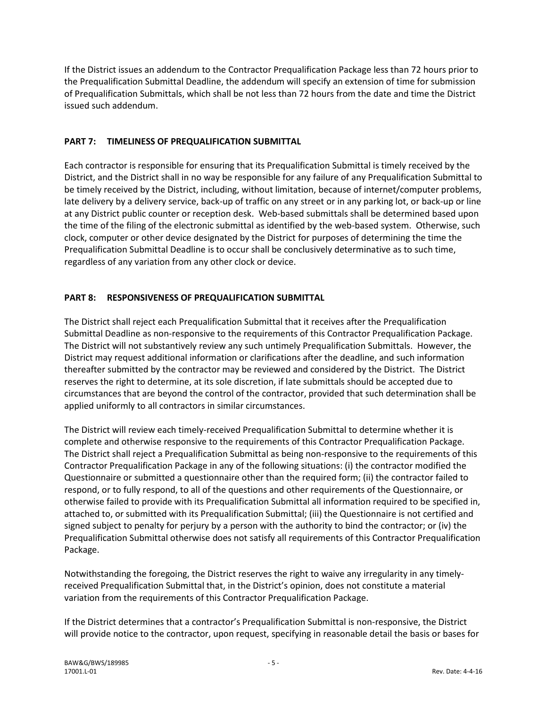If the District issues an addendum to the Contractor Prequalification Package less than 72 hours prior to the Prequalification Submittal Deadline, the addendum will specify an extension of time for submission of Prequalification Submittals, which shall be not less than 72 hours from the date and time the District issued such addendum.

#### **PART 7: TIMELINESS OF PREQUALIFICATION SUBMITTAL**

Each contractor is responsible for ensuring that its Prequalification Submittal is timely received by the District, and the District shall in no way be responsible for any failure of any Prequalification Submittal to be timely received by the District, including, without limitation, because of internet/computer problems, late delivery by a delivery service, back-up of traffic on any street or in any parking lot, or back-up or line at any District public counter or reception desk. Web-based submittals shall be determined based upon the time of the filing of the electronic submittal as identified by the web-based system. Otherwise, such clock, computer or other device designated by the District for purposes of determining the time the Prequalification Submittal Deadline is to occur shall be conclusively determinative as to such time, regardless of any variation from any other clock or device.

#### **PART 8: RESPONSIVENESS OF PREQUALIFICATION SUBMITTAL**

The District shall reject each Prequalification Submittal that it receives after the Prequalification Submittal Deadline as non-responsive to the requirements of this Contractor Prequalification Package. The District will not substantively review any such untimely Prequalification Submittals. However, the District may request additional information or clarifications after the deadline, and such information thereafter submitted by the contractor may be reviewed and considered by the District. The District reserves the right to determine, at its sole discretion, if late submittals should be accepted due to circumstances that are beyond the control of the contractor, provided that such determination shall be applied uniformly to all contractors in similar circumstances.

The District will review each timely-received Prequalification Submittal to determine whether it is complete and otherwise responsive to the requirements of this Contractor Prequalification Package. The District shall reject a Prequalification Submittal as being non-responsive to the requirements of this Contractor Prequalification Package in any of the following situations: (i) the contractor modified the Questionnaire or submitted a questionnaire other than the required form; (ii) the contractor failed to respond, or to fully respond, to all of the questions and other requirements of the Questionnaire, or otherwise failed to provide with its Prequalification Submittal all information required to be specified in, attached to, or submitted with its Prequalification Submittal; (iii) the Questionnaire is not certified and signed subject to penalty for perjury by a person with the authority to bind the contractor; or (iv) the Prequalification Submittal otherwise does not satisfy all requirements of this Contractor Prequalification Package.

Notwithstanding the foregoing, the District reserves the right to waive any irregularity in any timelyreceived Prequalification Submittal that, in the District's opinion, does not constitute a material variation from the requirements of this Contractor Prequalification Package.

If the District determines that a contractor's Prequalification Submittal is non-responsive, the District will provide notice to the contractor, upon request, specifying in reasonable detail the basis or bases for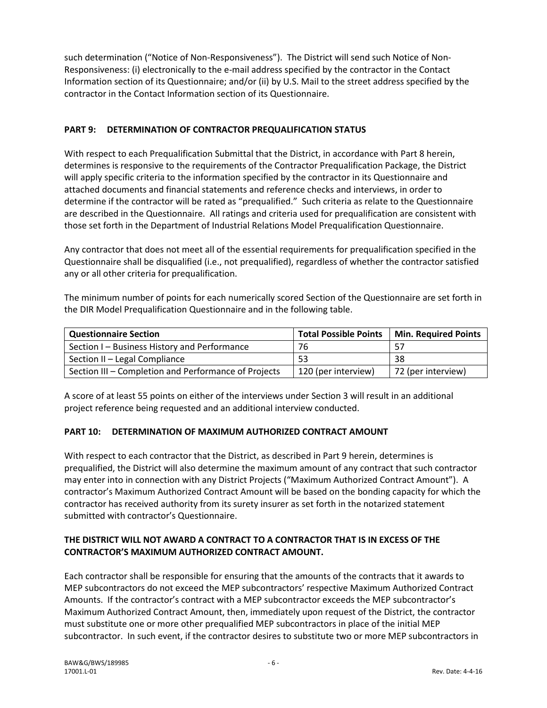such determination ("Notice of Non-Responsiveness"). The District will send such Notice of Non-Responsiveness: (i) electronically to the e-mail address specified by the contractor in the Contact Information section of its Questionnaire; and/or (ii) by U.S. Mail to the street address specified by the contractor in the Contact Information section of its Questionnaire.

#### **PART 9: DETERMINATION OF CONTRACTOR PREQUALIFICATION STATUS**

With respect to each Prequalification Submittal that the District, in accordance with Part 8 herein, determines is responsive to the requirements of the Contractor Prequalification Package, the District will apply specific criteria to the information specified by the contractor in its Questionnaire and attached documents and financial statements and reference checks and interviews, in order to determine if the contractor will be rated as "prequalified." Such criteria as relate to the Questionnaire are described in the Questionnaire. All ratings and criteria used for prequalification are consistent with those set forth in the Department of Industrial Relations Model Prequalification Questionnaire.

Any contractor that does not meet all of the essential requirements for prequalification specified in the Questionnaire shall be disqualified (i.e., not prequalified), regardless of whether the contractor satisfied any or all other criteria for prequalification.

The minimum number of points for each numerically scored Section of the Questionnaire are set forth in the DIR Model Prequalification Questionnaire and in the following table.

| <b>Questionnaire Section</b>                         | <b>Total Possible Points</b> | <b>Min. Required Points</b> |
|------------------------------------------------------|------------------------------|-----------------------------|
| Section I - Business History and Performance         | 76                           |                             |
| Section II - Legal Compliance                        | 53                           | 38                          |
| Section III – Completion and Performance of Projects | 120 (per interview)          | 72 (per interview)          |

A score of at least 55 points on either of the interviews under Section 3 will result in an additional project reference being requested and an additional interview conducted.

#### **PART 10: DETERMINATION OF MAXIMUM AUTHORIZED CONTRACT AMOUNT**

With respect to each contractor that the District, as described in Part 9 herein, determines is prequalified, the District will also determine the maximum amount of any contract that such contractor may enter into in connection with any District Projects ("Maximum Authorized Contract Amount"). A contractor's Maximum Authorized Contract Amount will be based on the bonding capacity for which the contractor has received authority from its surety insurer as set forth in the notarized statement submitted with contractor's Questionnaire.

### **THE DISTRICT WILL NOT AWARD A CONTRACT TO A CONTRACTOR THAT IS IN EXCESS OF THE CONTRACTOR'S MAXIMUM AUTHORIZED CONTRACT AMOUNT.**

Each contractor shall be responsible for ensuring that the amounts of the contracts that it awards to MEP subcontractors do not exceed the MEP subcontractors' respective Maximum Authorized Contract Amounts. If the contractor's contract with a MEP subcontractor exceeds the MEP subcontractor's Maximum Authorized Contract Amount, then, immediately upon request of the District, the contractor must substitute one or more other prequalified MEP subcontractors in place of the initial MEP subcontractor. In such event, if the contractor desires to substitute two or more MEP subcontractors in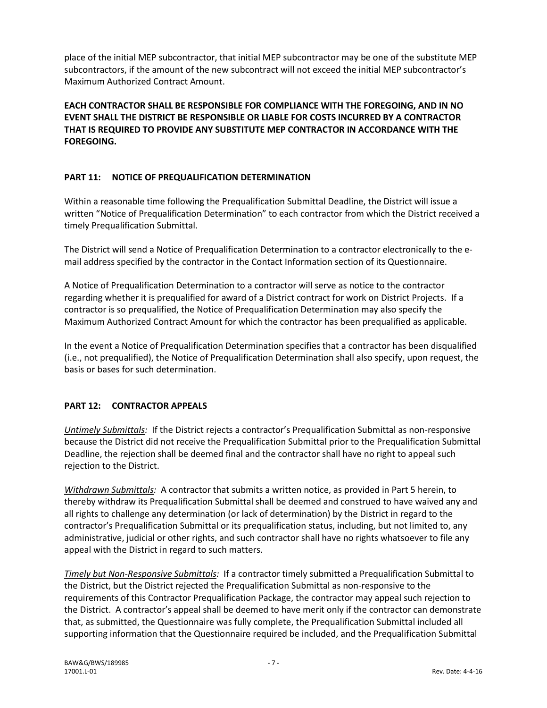place of the initial MEP subcontractor, that initial MEP subcontractor may be one of the substitute MEP subcontractors, if the amount of the new subcontract will not exceed the initial MEP subcontractor's Maximum Authorized Contract Amount.

**EACH CONTRACTOR SHALL BE RESPONSIBLE FOR COMPLIANCE WITH THE FOREGOING, AND IN NO EVENT SHALL THE DISTRICT BE RESPONSIBLE OR LIABLE FOR COSTS INCURRED BY A CONTRACTOR THAT IS REQUIRED TO PROVIDE ANY SUBSTITUTE MEP CONTRACTOR IN ACCORDANCE WITH THE FOREGOING.** 

#### **PART 11: NOTICE OF PREQUALIFICATION DETERMINATION**

Within a reasonable time following the Prequalification Submittal Deadline, the District will issue a written "Notice of Prequalification Determination" to each contractor from which the District received a timely Prequalification Submittal.

The District will send a Notice of Prequalification Determination to a contractor electronically to the email address specified by the contractor in the Contact Information section of its Questionnaire.

A Notice of Prequalification Determination to a contractor will serve as notice to the contractor regarding whether it is prequalified for award of a District contract for work on District Projects. If a contractor is so prequalified, the Notice of Prequalification Determination may also specify the Maximum Authorized Contract Amount for which the contractor has been prequalified as applicable.

In the event a Notice of Prequalification Determination specifies that a contractor has been disqualified (i.e., not prequalified), the Notice of Prequalification Determination shall also specify, upon request, the basis or bases for such determination.

#### **PART 12: CONTRACTOR APPEALS**

*Untimely Submittals:* If the District rejects a contractor's Prequalification Submittal as non-responsive because the District did not receive the Prequalification Submittal prior to the Prequalification Submittal Deadline, the rejection shall be deemed final and the contractor shall have no right to appeal such rejection to the District.

*Withdrawn Submittals:* A contractor that submits a written notice, as provided in Part 5 herein, to thereby withdraw its Prequalification Submittal shall be deemed and construed to have waived any and all rights to challenge any determination (or lack of determination) by the District in regard to the contractor's Prequalification Submittal or its prequalification status, including, but not limited to, any administrative, judicial or other rights, and such contractor shall have no rights whatsoever to file any appeal with the District in regard to such matters.

*Timely but Non-Responsive Submittals:* If a contractor timely submitted a Prequalification Submittal to the District, but the District rejected the Prequalification Submittal as non-responsive to the requirements of this Contractor Prequalification Package, the contractor may appeal such rejection to the District. A contractor's appeal shall be deemed to have merit only if the contractor can demonstrate that, as submitted, the Questionnaire was fully complete, the Prequalification Submittal included all supporting information that the Questionnaire required be included, and the Prequalification Submittal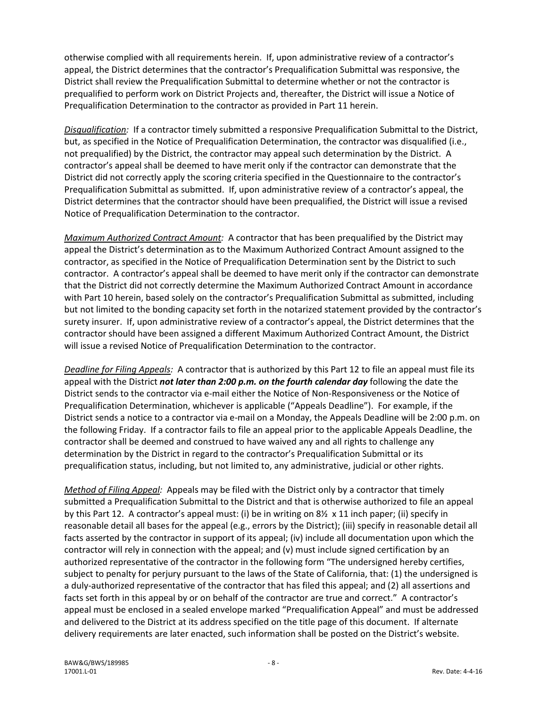otherwise complied with all requirements herein. If, upon administrative review of a contractor's appeal, the District determines that the contractor's Prequalification Submittal was responsive, the District shall review the Prequalification Submittal to determine whether or not the contractor is prequalified to perform work on District Projects and, thereafter, the District will issue a Notice of Prequalification Determination to the contractor as provided in Part 11 herein.

*Disqualification:* If a contractor timely submitted a responsive Prequalification Submittal to the District, but, as specified in the Notice of Prequalification Determination, the contractor was disqualified (i.e., not prequalified) by the District, the contractor may appeal such determination by the District. A contractor's appeal shall be deemed to have merit only if the contractor can demonstrate that the District did not correctly apply the scoring criteria specified in the Questionnaire to the contractor's Prequalification Submittal as submitted. If, upon administrative review of a contractor's appeal, the District determines that the contractor should have been prequalified, the District will issue a revised Notice of Prequalification Determination to the contractor.

*Maximum Authorized Contract Amount:* A contractor that has been prequalified by the District may appeal the District's determination as to the Maximum Authorized Contract Amount assigned to the contractor, as specified in the Notice of Prequalification Determination sent by the District to such contractor. A contractor's appeal shall be deemed to have merit only if the contractor can demonstrate that the District did not correctly determine the Maximum Authorized Contract Amount in accordance with Part 10 herein, based solely on the contractor's Prequalification Submittal as submitted, including but not limited to the bonding capacity set forth in the notarized statement provided by the contractor's surety insurer. If, upon administrative review of a contractor's appeal, the District determines that the contractor should have been assigned a different Maximum Authorized Contract Amount, the District will issue a revised Notice of Prequalification Determination to the contractor.

*Deadline for Filing Appeals:* A contractor that is authorized by this Part 12 to file an appeal must file its appeal with the District *not later than 2:00 p.m. on the fourth calendar day* following the date the District sends to the contractor via e-mail either the Notice of Non-Responsiveness or the Notice of Prequalification Determination, whichever is applicable ("Appeals Deadline"). For example, if the District sends a notice to a contractor via e-mail on a Monday, the Appeals Deadline will be 2:00 p.m. on the following Friday. If a contractor fails to file an appeal prior to the applicable Appeals Deadline, the contractor shall be deemed and construed to have waived any and all rights to challenge any determination by the District in regard to the contractor's Prequalification Submittal or its prequalification status, including, but not limited to, any administrative, judicial or other rights.

*Method of Filing Appeal:* Appeals may be filed with the District only by a contractor that timely submitted a Prequalification Submittal to the District and that is otherwise authorized to file an appeal by this Part 12. A contractor's appeal must: (i) be in writing on 8½ x 11 inch paper; (ii) specify in reasonable detail all bases for the appeal (e.g., errors by the District); (iii) specify in reasonable detail all facts asserted by the contractor in support of its appeal; (iv) include all documentation upon which the contractor will rely in connection with the appeal; and (v) must include signed certification by an authorized representative of the contractor in the following form "The undersigned hereby certifies, subject to penalty for perjury pursuant to the laws of the State of California, that: (1) the undersigned is a duly-authorized representative of the contractor that has filed this appeal; and (2) all assertions and facts set forth in this appeal by or on behalf of the contractor are true and correct." A contractor's appeal must be enclosed in a sealed envelope marked "Prequalification Appeal" and must be addressed and delivered to the District at its address specified on the title page of this document. If alternate delivery requirements are later enacted, such information shall be posted on the District's website.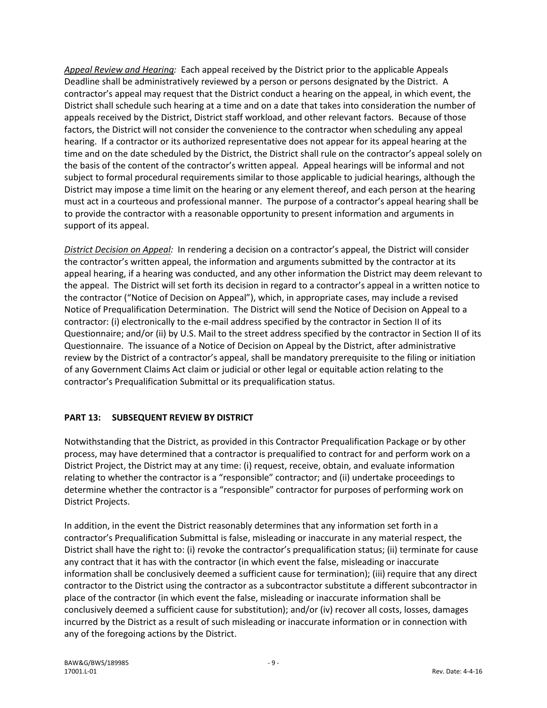*Appeal Review and Hearing:* Each appeal received by the District prior to the applicable Appeals Deadline shall be administratively reviewed by a person or persons designated by the District. A contractor's appeal may request that the District conduct a hearing on the appeal, in which event, the District shall schedule such hearing at a time and on a date that takes into consideration the number of appeals received by the District, District staff workload, and other relevant factors. Because of those factors, the District will not consider the convenience to the contractor when scheduling any appeal hearing. If a contractor or its authorized representative does not appear for its appeal hearing at the time and on the date scheduled by the District, the District shall rule on the contractor's appeal solely on the basis of the content of the contractor's written appeal. Appeal hearings will be informal and not subject to formal procedural requirements similar to those applicable to judicial hearings, although the District may impose a time limit on the hearing or any element thereof, and each person at the hearing must act in a courteous and professional manner. The purpose of a contractor's appeal hearing shall be to provide the contractor with a reasonable opportunity to present information and arguments in support of its appeal.

*District Decision on Appeal:* In rendering a decision on a contractor's appeal, the District will consider the contractor's written appeal, the information and arguments submitted by the contractor at its appeal hearing, if a hearing was conducted, and any other information the District may deem relevant to the appeal. The District will set forth its decision in regard to a contractor's appeal in a written notice to the contractor ("Notice of Decision on Appeal"), which, in appropriate cases, may include a revised Notice of Prequalification Determination. The District will send the Notice of Decision on Appeal to a contractor: (i) electronically to the e-mail address specified by the contractor in Section II of its Questionnaire; and/or (ii) by U.S. Mail to the street address specified by the contractor in Section II of its Questionnaire. The issuance of a Notice of Decision on Appeal by the District, after administrative review by the District of a contractor's appeal, shall be mandatory prerequisite to the filing or initiation of any Government Claims Act claim or judicial or other legal or equitable action relating to the contractor's Prequalification Submittal or its prequalification status.

## **PART 13: SUBSEQUENT REVIEW BY DISTRICT**

Notwithstanding that the District, as provided in this Contractor Prequalification Package or by other process, may have determined that a contractor is prequalified to contract for and perform work on a District Project, the District may at any time: (i) request, receive, obtain, and evaluate information relating to whether the contractor is a "responsible" contractor; and (ii) undertake proceedings to determine whether the contractor is a "responsible" contractor for purposes of performing work on District Projects.

In addition, in the event the District reasonably determines that any information set forth in a contractor's Prequalification Submittal is false, misleading or inaccurate in any material respect, the District shall have the right to: (i) revoke the contractor's prequalification status; (ii) terminate for cause any contract that it has with the contractor (in which event the false, misleading or inaccurate information shall be conclusively deemed a sufficient cause for termination); (iii) require that any direct contractor to the District using the contractor as a subcontractor substitute a different subcontractor in place of the contractor (in which event the false, misleading or inaccurate information shall be conclusively deemed a sufficient cause for substitution); and/or (iv) recover all costs, losses, damages incurred by the District as a result of such misleading or inaccurate information or in connection with any of the foregoing actions by the District.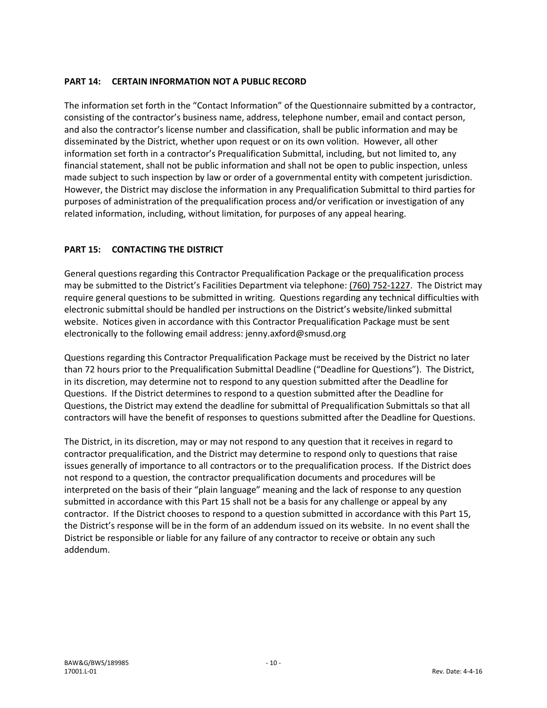#### **PART 14: CERTAIN INFORMATION NOT A PUBLIC RECORD**

The information set forth in the "Contact Information" of the Questionnaire submitted by a contractor, consisting of the contractor's business name, address, telephone number, email and contact person, and also the contractor's license number and classification, shall be public information and may be disseminated by the District, whether upon request or on its own volition. However, all other information set forth in a contractor's Prequalification Submittal, including, but not limited to, any financial statement, shall not be public information and shall not be open to public inspection, unless made subject to such inspection by law or order of a governmental entity with competent jurisdiction. However, the District may disclose the information in any Prequalification Submittal to third parties for purposes of administration of the prequalification process and/or verification or investigation of any related information, including, without limitation, for purposes of any appeal hearing.

#### **PART 15: CONTACTING THE DISTRICT**

General questions regarding this Contractor Prequalification Package or the prequalification process may be submitted to the District's Facilities Department via telephone: (760) 752-1227. The District may require general questions to be submitted in writing. Questions regarding any technical difficulties with electronic submittal should be handled per instructions on the District's website/linked submittal website. Notices given in accordance with this Contractor Prequalification Package must be sent electronically to the following email address: jenny.axford@smusd.org

Questions regarding this Contractor Prequalification Package must be received by the District no later than 72 hours prior to the Prequalification Submittal Deadline ("Deadline for Questions"). The District, in its discretion, may determine not to respond to any question submitted after the Deadline for Questions. If the District determines to respond to a question submitted after the Deadline for Questions, the District may extend the deadline for submittal of Prequalification Submittals so that all contractors will have the benefit of responses to questions submitted after the Deadline for Questions.

The District, in its discretion, may or may not respond to any question that it receives in regard to contractor prequalification, and the District may determine to respond only to questions that raise issues generally of importance to all contractors or to the prequalification process. If the District does not respond to a question, the contractor prequalification documents and procedures will be interpreted on the basis of their "plain language" meaning and the lack of response to any question submitted in accordance with this Part 15 shall not be a basis for any challenge or appeal by any contractor. If the District chooses to respond to a question submitted in accordance with this Part 15, the District's response will be in the form of an addendum issued on its website. In no event shall the District be responsible or liable for any failure of any contractor to receive or obtain any such addendum.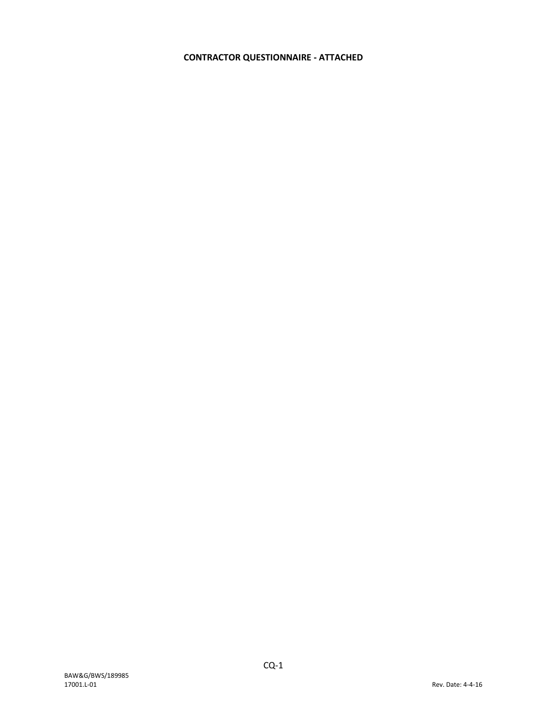## **CONTRACTOR QUESTIONNAIRE - ATTACHED**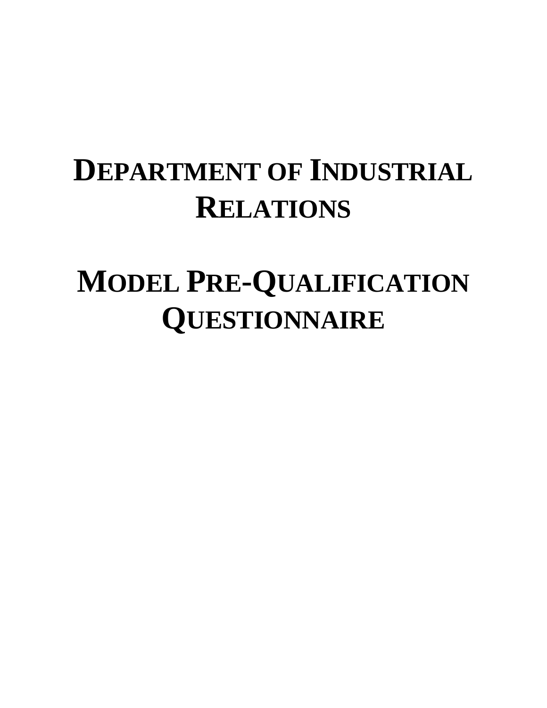## **DEPARTMENT OF INDUSTRIAL RELATIONS**

## **MODEL PRE-QUALIFICATION QUESTIONNAIRE**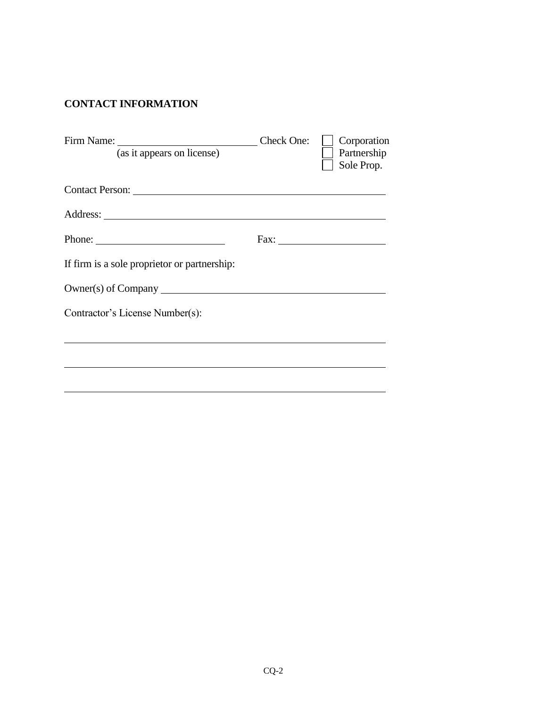## **CONTACT INFORMATION**

| (as it appears on license)                   | Check One: | Corporation<br>Partnership<br>Sole Prop. |
|----------------------------------------------|------------|------------------------------------------|
|                                              |            |                                          |
|                                              |            |                                          |
|                                              |            | Fax:                                     |
| If firm is a sole proprietor or partnership: |            |                                          |
| Owner(s) of Company                          |            |                                          |
| Contractor's License Number(s):              |            |                                          |
|                                              |            |                                          |
|                                              |            |                                          |
|                                              |            |                                          |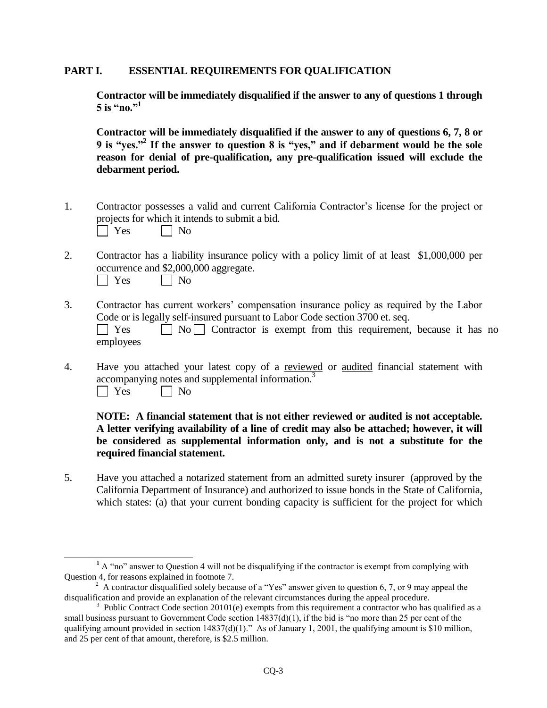#### **PART I. ESSENTIAL REQUIREMENTS FOR QUALIFICATION**

**Contractor will be immediately disqualified if the answer to any of questions 1 through**  5 is "no."<sup>1</sup>

**Contractor will be immediately disqualified if the answer to any of questions 6, 7, 8 or 9 is "yes."<sup>2</sup> If the answer to question 8 is "yes," and if debarment would be the sole reason for denial of pre-qualification, any pre-qualification issued will exclude the debarment period.** 

- 1. Contractor possesses a valid and current California Contractor's license for the project or projects for which it intends to submit a bid.  $\Box$  Yes  $\Box$  No
- 2. Contractor has a liability insurance policy with a policy limit of at least \$1,000,000 per occurrence and \$2,000,000 aggregate.

| ΔC<br>- | Nο |
|---------|----|
|---------|----|

- 3. Contractor has current workers' compensation insurance policy as required by the Labor Code or is legally self-insured pursuant to Labor Code section 3700 et. seq.  $\Box$  Yes  $\Box$  No  $\Box$  Contractor is exempt from this requirement, because it has no employees
- 4. Have you attached your latest copy of a reviewed or audited financial statement with accompanying notes and supplemental information.<sup>3</sup>  $\Box$  Yes  $\Box$  No

#### **NOTE: A financial statement that is not either reviewed or audited is not acceptable. A letter verifying availability of a line of credit may also be attached; however, it will be considered as supplemental information only, and is not a substitute for the required financial statement.**

5. Have you attached a notarized statement from an admitted surety insurer (approved by the California Department of Insurance) and authorized to issue bonds in the State of California, which states: (a) that your current bonding capacity is sufficient for the project for which

**<sup>1</sup>** A "no" answer to Question 4 will not be disqualifying if the contractor is exempt from complying with Question 4, for reasons explained in footnote 7.

<sup>&</sup>lt;sup>2</sup> A contractor disqualified solely because of a "Yes" answer given to question 6, 7, or 9 may appeal the disqualification and provide an explanation of the relevant circumstances during the appeal procedure.

<sup>&</sup>lt;sup>3</sup> Public Contract Code section 20101(e) exempts from this requirement a contractor who has qualified as a small business pursuant to Government Code section  $14837(d)(1)$ , if the bid is "no more than 25 per cent of the qualifying amount provided in section  $14837(d)(1)$ ." As of January 1, 2001, the qualifying amount is \$10 million, and 25 per cent of that amount, therefore, is \$2.5 million.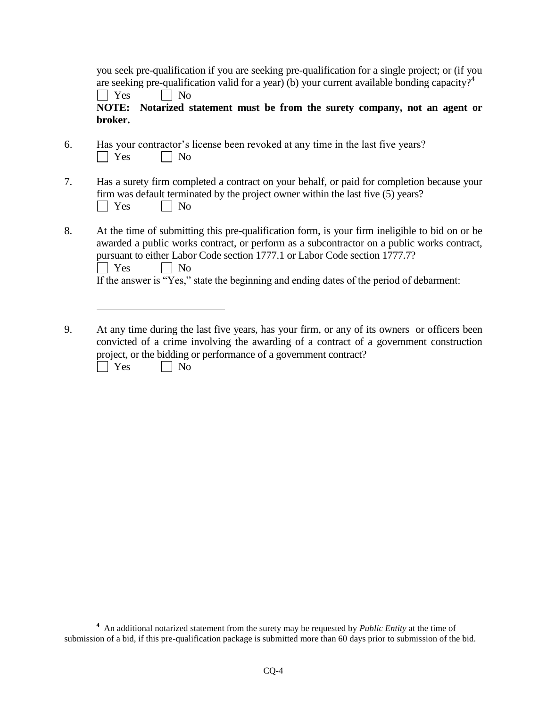| you seek pre-qualification if you are seeking pre-qualification for a single project; or (if you          |  |
|-----------------------------------------------------------------------------------------------------------|--|
| are seeking pre-qualification valid for a year) (b) your current available bonding capacity? <sup>4</sup> |  |
| $\Box$ Yes<br>$\vert$   No                                                                                |  |

**NOTE: Notarized statement must be from the surety company, not an agent or broker.**

- 6. Has your contractor's license been revoked at any time in the last five years?  $\Box$  Yes  $\Box$  No
- 7. Has a surety firm completed a contract on your behalf, or paid for completion because your firm was default terminated by the project owner within the last five (5) years?  $\Box$  Yes  $\Box$  No
- 8. At the time of submitting this pre-qualification form, is your firm ineligible to bid on or be awarded a public works contract, or perform as a subcontractor on a public works contract, pursuant to either Labor Code section 1777.1 or Labor Code section 1777.7?  $\Box$  Yes  $\Box$  No If the answer is "Yes," state the beginning and ending dates of the period of debarment:
- 9. At any time during the last five years, has your firm, or any of its owners or officers been convicted of a crime involving the awarding of a contract of a government construction project, or the bidding or performance of a government contract?  $\bigcap$  Yes  $\bigcap$  No

**<sup>4</sup>** An additional notarized statement from the surety may be requested by *Public Entity* at the time of submission of a bid, if this pre-qualification package is submitted more than 60 days prior to submission of the bid.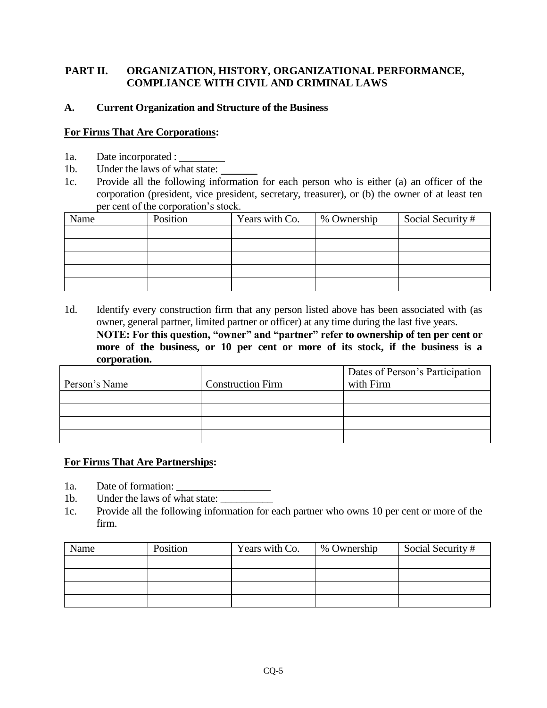## **PART II. ORGANIZATION, HISTORY, ORGANIZATIONAL PERFORMANCE, COMPLIANCE WITH CIVIL AND CRIMINAL LAWS**

## **A. Current Organization and Structure of the Business**

### **For Firms That Are Corporations:**

- 1a. Date incorporated :
- 1b. Under the laws of what state:
- 1c. Provide all the following information for each person who is either (a) an officer of the corporation (president, vice president, secretary, treasurer), or (b) the owner of at least ten per cent of the corporation's stock.

| Name | Position | Years with Co. | % Ownership | Social Security # |
|------|----------|----------------|-------------|-------------------|
|      |          |                |             |                   |
|      |          |                |             |                   |
|      |          |                |             |                   |
|      |          |                |             |                   |
|      |          |                |             |                   |

1d. Identify every construction firm that any person listed above has been associated with (as owner, general partner, limited partner or officer) at any time during the last five years. **NOTE: For this question, "owner" and "partner" refer to ownership of ten per cent or more of the business, or 10 per cent or more of its stock, if the business is a corporation.** 

|               |                          | Dates of Person's Participation |
|---------------|--------------------------|---------------------------------|
| Person's Name | <b>Construction Firm</b> | with Firm                       |
|               |                          |                                 |
|               |                          |                                 |
|               |                          |                                 |
|               |                          |                                 |

## **For Firms That Are Partnerships:**

- 1a. Date of formation:
- 1b. Under the laws of what state:
- 1c. Provide all the following information for each partner who owns 10 per cent or more of the firm.

| Name | Position | Years with Co. | % Ownership | Social Security # |
|------|----------|----------------|-------------|-------------------|
|      |          |                |             |                   |
|      |          |                |             |                   |
|      |          |                |             |                   |
|      |          |                |             |                   |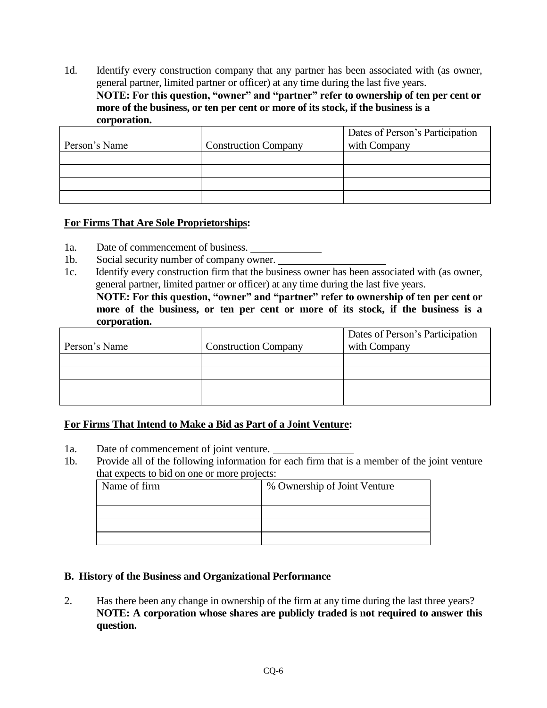1d. Identify every construction company that any partner has been associated with (as owner, general partner, limited partner or officer) at any time during the last five years. **NOTE: For this question, "owner" and "partner" refer to ownership of ten per cent or more of the business, or ten per cent or more of its stock, if the business is a corporation.** 

| Person's Name | <b>Construction Company</b> | Dates of Person's Participation<br>with Company |
|---------------|-----------------------------|-------------------------------------------------|
|               |                             |                                                 |
|               |                             |                                                 |
|               |                             |                                                 |
|               |                             |                                                 |
|               |                             |                                                 |

### **For Firms That Are Sole Proprietorships:**

- 1a. Date of commencement of business.
- 1b. Social security number of company owner.
- 1c. Identify every construction firm that the business owner has been associated with (as owner, general partner, limited partner or officer) at any time during the last five years.

**NOTE: For this question, "owner" and "partner" refer to ownership of ten per cent or more of the business, or ten per cent or more of its stock, if the business is a corporation.** 

|               |                             | Dates of Person's Participation |
|---------------|-----------------------------|---------------------------------|
| Person's Name | <b>Construction Company</b> | with Company                    |
|               |                             |                                 |
|               |                             |                                 |
|               |                             |                                 |
|               |                             |                                 |

## **For Firms That Intend to Make a Bid as Part of a Joint Venture:**

- 1a. Date of commencement of joint venture.
- 1b. Provide all of the following information for each firm that is a member of the joint venture that expects to bid on one or more projects:

| Name of firm | % Ownership of Joint Venture |  |  |
|--------------|------------------------------|--|--|
|              |                              |  |  |
|              |                              |  |  |
|              |                              |  |  |
|              |                              |  |  |

#### **B. History of the Business and Organizational Performance**

2. Has there been any change in ownership of the firm at any time during the last three years? **NOTE: A corporation whose shares are publicly traded is not required to answer this question.**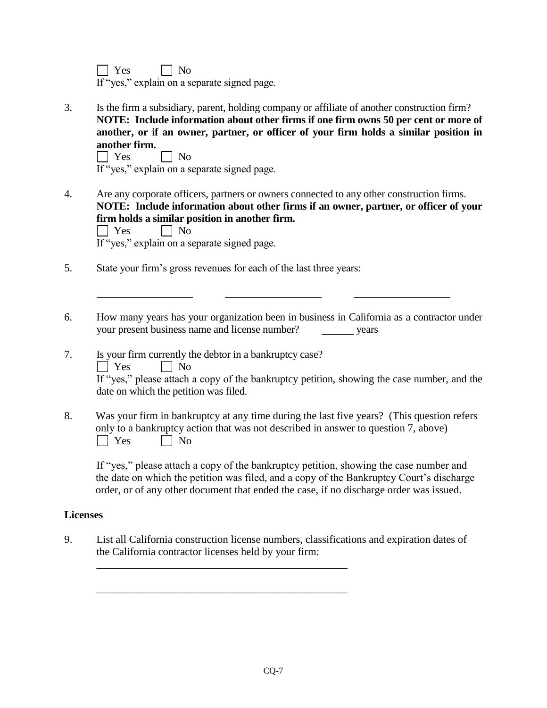$\Box$  Yes  $\Box$  No

If "yes," explain on a separate signed page.

3. Is the firm a subsidiary, parent, holding company or affiliate of another construction firm? **NOTE: Include information about other firms if one firm owns 50 per cent or more of another, or if an owner, partner, or officer of your firm holds a similar position in another firm.**

 $\Box$  Yes  $\Box$  No

If "yes," explain on a separate signed page.

- 4. Are any corporate officers, partners or owners connected to any other construction firms. **NOTE: Include information about other firms if an owner, partner, or officer of your firm holds a similar position in another firm.**   $\Box$  Yes  $\Box$  No If "yes," explain on a separate signed page.
- 5. State your firm's gross revenues for each of the last three years:
- 6. How many years has your organization been in business in California as a contractor under your present business name and license number? years
- 7. Is your firm currently the debtor in a bankruptcy case?  $\Box$  Yes  $\Box$  No If "yes," please attach a copy of the bankruptcy petition, showing the case number, and the date on which the petition was filed.
- 8. Was your firm in bankruptcy at any time during the last five years? (This question refers only to a bankruptcy action that was not described in answer to question 7, above)  $\Box$  Yes  $\Box$  No

If "yes," please attach a copy of the bankruptcy petition, showing the case number and the date on which the petition was filed, and a copy of the Bankruptcy Court's discharge order, or of any other document that ended the case, if no discharge order was issued.

## **Licenses**

9. List all California construction license numbers, classifications and expiration dates of the California contractor licenses held by your firm:

\_\_\_\_\_\_\_\_\_\_\_\_\_\_\_\_\_\_\_\_\_\_\_\_\_\_\_\_\_\_\_\_\_\_\_\_\_\_\_\_\_\_\_\_\_\_\_\_

\_\_\_\_\_\_\_\_\_\_\_\_\_\_\_\_\_\_\_\_\_\_\_\_\_\_\_\_\_\_\_\_\_\_\_\_\_\_\_\_\_\_\_\_\_\_\_\_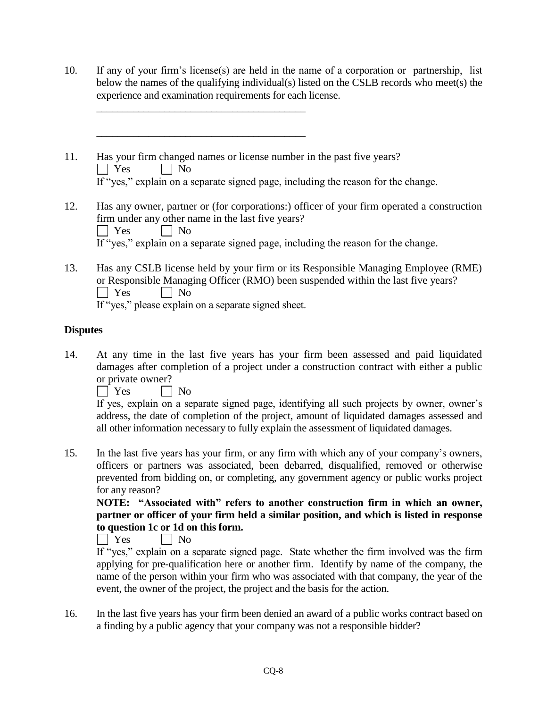10. If any of your firm's license(s) are held in the name of a corporation or partnership, list below the names of the qualifying individual(s) listed on the CSLB records who meet(s) the experience and examination requirements for each license.  $\overline{\phantom{a}}$  , we can assume that the contract of  $\overline{\phantom{a}}$  $\overline{\phantom{a}}$  , we can assume that the contract of  $\overline{\phantom{a}}$ 11. Has your firm changed names or license number in the past five years?  $\Box$  Yes  $\Box$  No If "yes," explain on a separate signed page, including the reason for the change. 12. Has any owner, partner or (for corporations:) officer of your firm operated a construction firm under any other name in the last five years?  $\Box$  Yes  $\Box$  No If "yes," explain on a separate signed page, including the reason for the change. 13. Has any CSLB license held by your firm or its Responsible Managing Employee (RME) or Responsible Managing Officer (RMO) been suspended within the last five years?<br>  $\Box$  Yes  $\Box$  No  $\Box$  No

If "yes," please explain on a separate signed sheet.

## **Disputes**

14. At any time in the last five years has your firm been assessed and paid liquidated damages after completion of a project under a construction contract with either a public or private owner?

 $\Box$  Yes  $\Box$  No

If yes, explain on a separate signed page, identifying all such projects by owner, owner's address, the date of completion of the project, amount of liquidated damages assessed and all other information necessary to fully explain the assessment of liquidated damages.

15. In the last five years has your firm, or any firm with which any of your company's owners, officers or partners was associated, been debarred, disqualified, removed or otherwise prevented from bidding on, or completing, any government agency or public works project for any reason?

**NOTE: "Associated with" refers to another construction firm in which an owner, partner or officer of your firm held a similar position, and which is listed in response to question 1c or 1d on this form.**

No No

If "yes," explain on a separate signed page. State whether the firm involved was the firm applying for pre-qualification here or another firm. Identify by name of the company, the name of the person within your firm who was associated with that company, the year of the event, the owner of the project, the project and the basis for the action.

16. In the last five years has your firm been denied an award of a public works contract based on a finding by a public agency that your company was not a responsible bidder?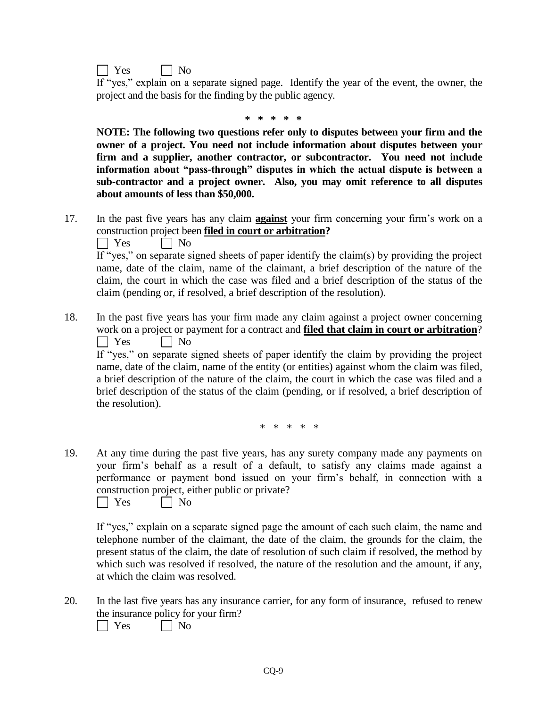

If "yes," explain on a separate signed page. Identify the year of the event, the owner, the project and the basis for the finding by the public agency.

**\* \* \* \* \***

**NOTE: The following two questions refer only to disputes between your firm and the owner of a project. You need not include information about disputes between your firm and a supplier, another contractor, or subcontractor. You need not include information about "pass-through" disputes in which the actual dispute is between a sub-contractor and a project owner. Also, you may omit reference to all disputes about amounts of less than \$50,000.**

17. In the past five years has any claim **against** your firm concerning your firm's work on a construction project been **filed in court or arbitration?**

 $\Box$  Yes  $\Box$  No

If "yes," on separate signed sheets of paper identify the claim(s) by providing the project name, date of the claim, name of the claimant, a brief description of the nature of the claim, the court in which the case was filed and a brief description of the status of the claim (pending or, if resolved, a brief description of the resolution).

18. In the past five years has your firm made any claim against a project owner concerning work on a project or payment for a contract and **filed that claim in court or arbitration**?  $\Box$  Yes  $\Box$  No

If "yes," on separate signed sheets of paper identify the claim by providing the project name, date of the claim, name of the entity (or entities) against whom the claim was filed, a brief description of the nature of the claim, the court in which the case was filed and a brief description of the status of the claim (pending, or if resolved, a brief description of the resolution).

\* \* \* \* \*

19. At any time during the past five years, has any surety company made any payments on your firm's behalf as a result of a default, to satisfy any claims made against a performance or payment bond issued on your firm's behalf, in connection with a construction project, either public or private?

 $\Box$  Yes  $\Box$  No

If "yes," explain on a separate signed page the amount of each such claim, the name and telephone number of the claimant, the date of the claim, the grounds for the claim, the present status of the claim, the date of resolution of such claim if resolved, the method by which such was resolved if resolved, the nature of the resolution and the amount, if any, at which the claim was resolved.

20. In the last five years has any insurance carrier, for any form of insurance, refused to renew the insurance policy for your firm?

 $\Box$  Yes  $\Box$  No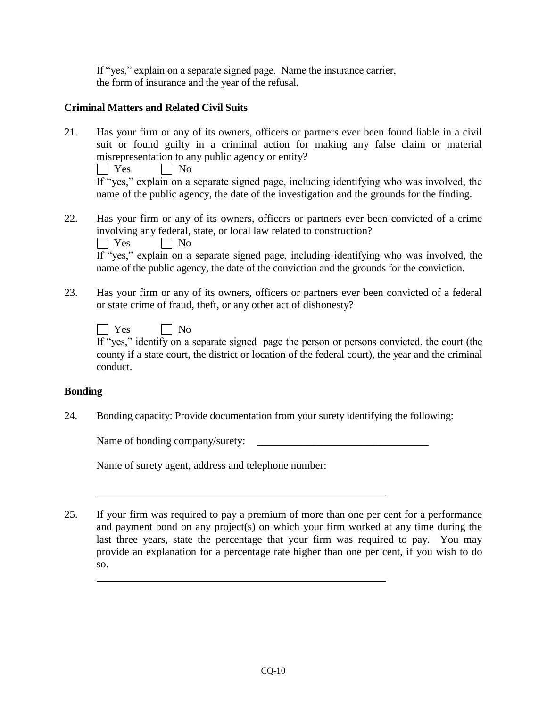If "yes," explain on a separate signed page. Name the insurance carrier, the form of insurance and the year of the refusal.

## **Criminal Matters and Related Civil Suits**

21. Has your firm or any of its owners, officers or partners ever been found liable in a civil suit or found guilty in a criminal action for making any false claim or material misrepresentation to any public agency or entity?

 $\Box$  Yes  $\Box$  No

If "yes," explain on a separate signed page, including identifying who was involved, the name of the public agency, the date of the investigation and the grounds for the finding.

22. Has your firm or any of its owners, officers or partners ever been convicted of a crime involving any federal, state, or local law related to construction?

 $\Box$  Yes  $\Box$  No

If "yes," explain on a separate signed page, including identifying who was involved, the name of the public agency, the date of the conviction and the grounds for the conviction.

23. Has your firm or any of its owners, officers or partners ever been convicted of a federal or state crime of fraud, theft, or any other act of dishonesty?

| Yes |  |  | No |
|-----|--|--|----|
|     |  |  |    |

If "yes," identify on a separate signed page the person or persons convicted, the court (the county if a state court, the district or location of the federal court), the year and the criminal conduct.

## **Bonding**

24. Bonding capacity: Provide documentation from your surety identifying the following:

Name of bonding company/surety:

Name of surety agent, address and telephone number:

25. If your firm was required to pay a premium of more than one per cent for a performance and payment bond on any project(s) on which your firm worked at any time during the last three years, state the percentage that your firm was required to pay. You may provide an explanation for a percentage rate higher than one per cent, if you wish to do so.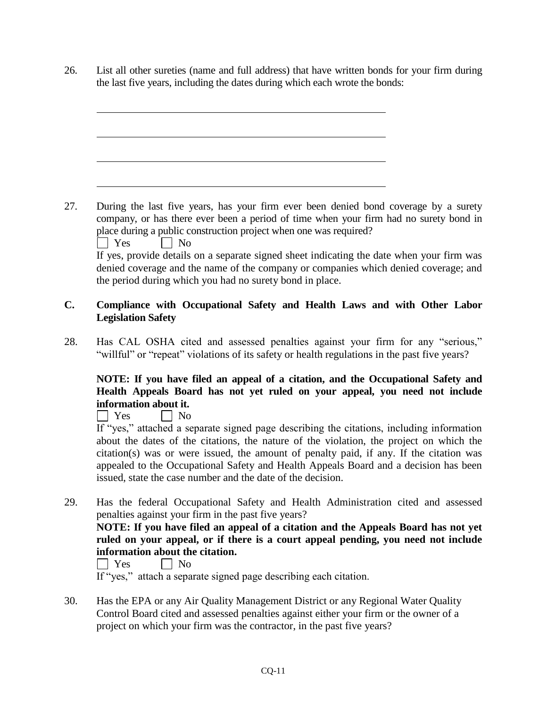26. List all other sureties (name and full address) that have written bonds for your firm during the last five years, including the dates during which each wrote the bonds:

27. During the last five years, has your firm ever been denied bond coverage by a surety company, or has there ever been a period of time when your firm had no surety bond in place during a public construction project when one was required? YesNo If yes, provide details on a separate signed sheet indicating the date when your firm was denied coverage and the name of the company or companies which denied coverage; and the period during which you had no surety bond in place.

## **C. Compliance with Occupational Safety and Health Laws and with Other Labor Legislation Safety**

28. Has CAL OSHA cited and assessed penalties against your firm for any "serious," "willful" or "repeat" violations of its safety or health regulations in the past five years?

## **NOTE: If you have filed an appeal of a citation, and the Occupational Safety and Health Appeals Board has not yet ruled on your appeal, you need not include information about it.**

No No

If "yes," attached a separate signed page describing the citations, including information about the dates of the citations, the nature of the violation, the project on which the citation(s) was or were issued, the amount of penalty paid, if any. If the citation was appealed to the Occupational Safety and Health Appeals Board and a decision has been issued, state the case number and the date of the decision.

29. Has the federal Occupational Safety and Health Administration cited and assessed penalties against your firm in the past five years?

## **NOTE: If you have filed an appeal of a citation and the Appeals Board has not yet ruled on your appeal, or if there is a court appeal pending, you need not include information about the citation.**

 $\vert$  Yes  $\vert$  No

If "yes," attach a separate signed page describing each citation.

30. Has the EPA or any Air Quality Management District or any Regional Water Quality Control Board cited and assessed penalties against either your firm or the owner of a project on which your firm was the contractor, in the past five years?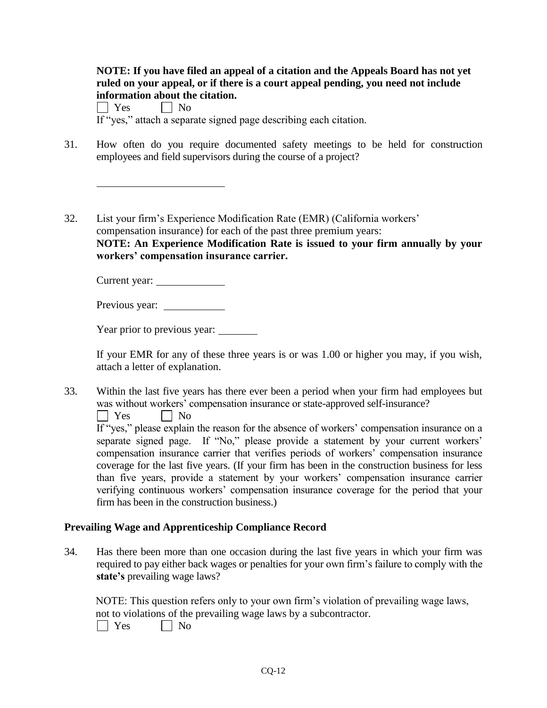| NOTE: If you have filed an appeal of a citation and the Appeals Board has not yet |
|-----------------------------------------------------------------------------------|
| ruled on your appeal, or if there is a court appeal pending, you need not include |
| information about the citation.                                                   |
|                                                                                   |

 $\Box$  Yes  $\Box$  No If "yes," attach a separate signed page describing each citation.

- 31. How often do you require documented safety meetings to be held for construction employees and field supervisors during the course of a project?
- 32. List your firm's Experience Modification Rate (EMR) (California workers' compensation insurance) for each of the past three premium years: **NOTE: An Experience Modification Rate is issued to your firm annually by your workers' compensation insurance carrier.**

Current year:

Previous year:

Year prior to previous year:

If your EMR for any of these three years is or was 1.00 or higher you may, if you wish, attach a letter of explanation.

33. Within the last five years has there ever been a period when your firm had employees but was without workers' compensation insurance or state-approved self-insurance?

No No

If "yes," please explain the reason for the absence of workers' compensation insurance on a separate signed page. If "No," please provide a statement by your current workers' compensation insurance carrier that verifies periods of workers' compensation insurance coverage for the last five years. (If your firm has been in the construction business for less than five years, provide a statement by your workers' compensation insurance carrier verifying continuous workers' compensation insurance coverage for the period that your firm has been in the construction business.)

#### **Prevailing Wage and Apprenticeship Compliance Record**

34. Has there been more than one occasion during the last five years in which your firm was required to pay either back wages or penalties for your own firm's failure to comply with the **state's** prevailing wage laws?

NOTE: This question refers only to your own firm's violation of prevailing wage laws, not to violations of the prevailing wage laws by a subcontractor.

 $\Box$  Yes  $\Box$  No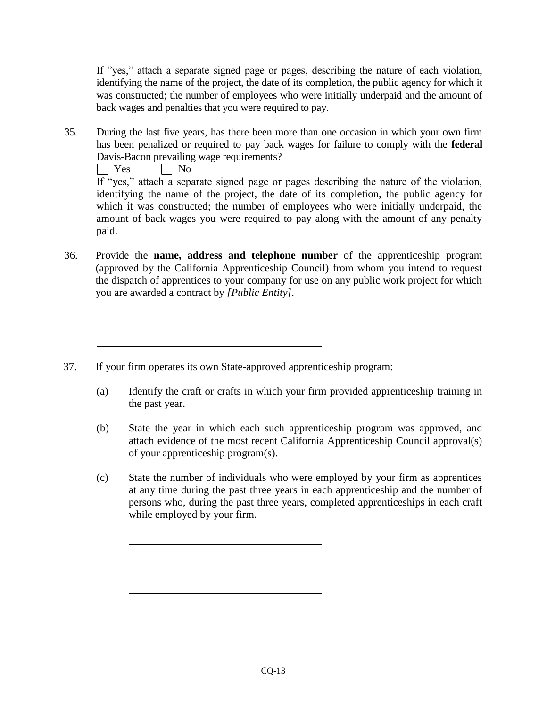If "yes," attach a separate signed page or pages, describing the nature of each violation, identifying the name of the project, the date of its completion, the public agency for which it was constructed; the number of employees who were initially underpaid and the amount of back wages and penalties that you were required to pay.

35. During the last five years, has there been more than one occasion in which your own firm has been penalized or required to pay back wages for failure to comply with the **federal** Davis-Bacon prevailing wage requirements?

 $\Box$  Yes  $\Box$  No

If "yes," attach a separate signed page or pages describing the nature of the violation, identifying the name of the project, the date of its completion, the public agency for which it was constructed; the number of employees who were initially underpaid, the amount of back wages you were required to pay along with the amount of any penalty paid.

- 36. Provide the **name, address and telephone number** of the apprenticeship program (approved by the California Apprenticeship Council) from whom you intend to request the dispatch of apprentices to your company for use on any public work project for which you are awarded a contract by *[Public Entity].*
- 37. If your firm operates its own State-approved apprenticeship program:
	- (a) Identify the craft or crafts in which your firm provided apprenticeship training in the past year.
	- (b) State the year in which each such apprenticeship program was approved, and attach evidence of the most recent California Apprenticeship Council approval(s) of your apprenticeship program(s).
	- (c) State the number of individuals who were employed by your firm as apprentices at any time during the past three years in each apprenticeship and the number of persons who, during the past three years, completed apprenticeships in each craft while employed by your firm.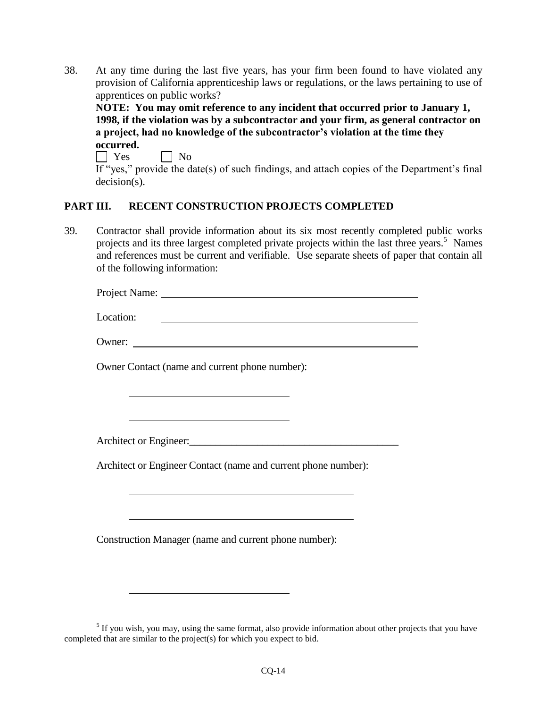38. At any time during the last five years, has your firm been found to have violated any provision of California apprenticeship laws or regulations, or the laws pertaining to use of apprentices on public works?

**NOTE: You may omit reference to any incident that occurred prior to January 1, 1998, if the violation was by a subcontractor and your firm, as general contractor on a project, had no knowledge of the subcontractor's violation at the time they occurred.** 

 $\Box$  Yes  $\Box$  No If "yes," provide the date(s) of such findings, and attach copies of the Department's final decision(s).

## **PART III. RECENT CONSTRUCTION PROJECTS COMPLETED**

39. Contractor shall provide information about its six most recently completed public works projects and its three largest completed private projects within the last three years.<sup>5</sup> Names and references must be current and verifiable. Use separate sheets of paper that contain all of the following information:

Project Name:

Location:

Owner:

Owner Contact (name and current phone number):

Architect or Engineer:

Architect or Engineer Contact (name and current phone number):

Construction Manager (name and current phone number):

 $\overline{a}$  $<sup>5</sup>$  If you wish, you may, using the same format, also provide information about other projects that you have</sup> completed that are similar to the project(s) for which you expect to bid.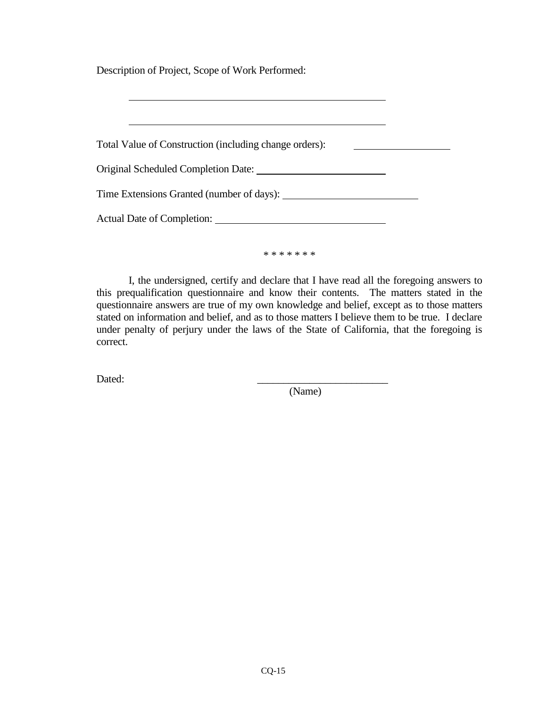Description of Project, Scope of Work Performed:

| Total Value of Construction (including change orders): |  |
|--------------------------------------------------------|--|
|                                                        |  |
| Time Extensions Granted (number of days):              |  |
|                                                        |  |
|                                                        |  |

\* \* \* \* \* \* \*

I, the undersigned, certify and declare that I have read all the foregoing answers to this prequalification questionnaire and know their contents. The matters stated in the questionnaire answers are true of my own knowledge and belief, except as to those matters stated on information and belief, and as to those matters I believe them to be true. I declare under penalty of perjury under the laws of the State of California, that the foregoing is correct.

Dated: \_\_\_\_\_\_\_\_\_\_\_\_\_\_\_\_\_\_\_\_\_\_\_\_\_

(Name)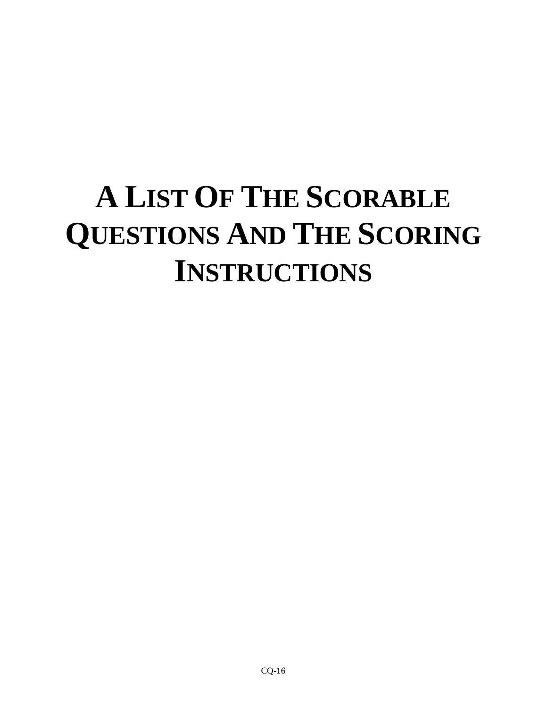# **A LIST OF THE SCORABLE QUESTIONS AND THE SCORING INSTRUCTIONS**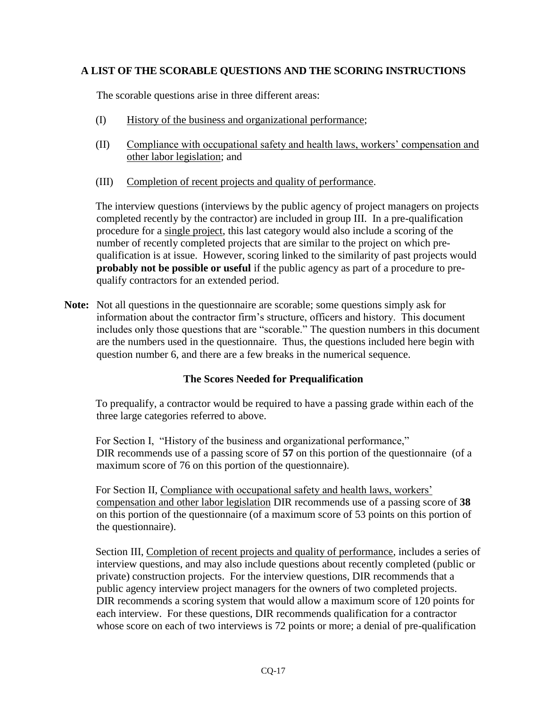## **A LIST OF THE SCORABLE QUESTIONS AND THE SCORING INSTRUCTIONS**

The scorable questions arise in three different areas:

- (I) History of the business and organizational performance;
- (II) Compliance with occupational safety and health laws, workers' compensation and other labor legislation; and
- (III) Completion of recent projects and quality of performance.

The interview questions (interviews by the public agency of project managers on projects completed recently by the contractor) are included in group III. In a pre-qualification procedure for a single project, this last category would also include a scoring of the number of recently completed projects that are similar to the project on which prequalification is at issue. However, scoring linked to the similarity of past projects would **probably not be possible or useful** if the public agency as part of a procedure to prequalify contractors for an extended period.

**Note:** Not all questions in the questionnaire are scorable; some questions simply ask for information about the contractor firm's structure, officers and history. This document includes only those questions that are "scorable." The question numbers in this document are the numbers used in the questionnaire. Thus, the questions included here begin with question number 6, and there are a few breaks in the numerical sequence.

## **The Scores Needed for Prequalification**

To prequalify, a contractor would be required to have a passing grade within each of the three large categories referred to above.

For Section I, "History of the business and organizational performance," DIR recommends use of a passing score of **57** on this portion of the questionnaire (of a maximum score of 76 on this portion of the questionnaire).

For Section II, Compliance with occupational safety and health laws, workers' compensation and other labor legislation DIR recommends use of a passing score of **38**  on this portion of the questionnaire (of a maximum score of 53 points on this portion of the questionnaire).

Section III, Completion of recent projects and quality of performance, includes a series of interview questions, and may also include questions about recently completed (public or private) construction projects. For the interview questions, DIR recommends that a public agency interview project managers for the owners of two completed projects. DIR recommends a scoring system that would allow a maximum score of 120 points for each interview. For these questions, DIR recommends qualification for a contractor whose score on each of two interviews is 72 points or more; a denial of pre-qualification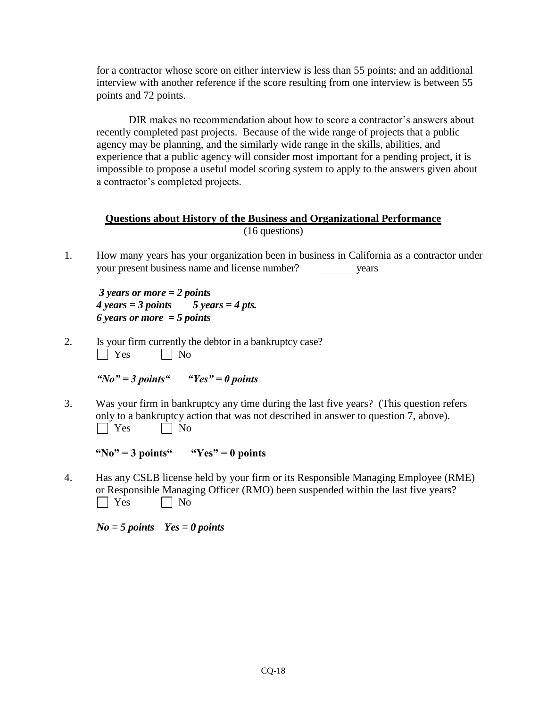for a contractor whose score on either interview is less than 55 points; and an additional interview with another reference if the score resulting from one interview is between 55 points and 72 points.

DIR makes no recommendation about how to score a contractor's answers about recently completed past projects. Because of the wide range of projects that a public agency may be planning, and the similarly wide range in the skills, abilities, and experience that a public agency will consider most important for a pending project, it is impossible to propose a useful model scoring system to apply to the answers given about a contractor's completed projects.

## **Questions about History of the Business and Organizational Performance** (16 questions)

1. How many years has your organization been in business in California as a contractor under your present business name and license number? years

*3 years or more = 2 points*   $4 \text{ years} = 3 \text{ points}$  5 years = 4 pts. *6 years or more = 5 points*

2. Is your firm currently the debtor in a bankruptcy case?<br> $\Box$  Yes  $\Box$  No  $\Box$  Yes

*"No" = 3 points" "Yes" = 0 points*

3. Was your firm in bankruptcy any time during the last five years? (This question refers only to a bankruptcy action that was not described in answer to question 7, above).  $\Box$  Yes  $\Box$  No

**"No" = 3 points" "Yes" = 0 points**

4. Has any CSLB license held by your firm or its Responsible Managing Employee (RME) or Responsible Managing Officer (RMO) been suspended within the last five years?  $\Box$  Yes  $\Box$  No

*No = 5 points Yes = 0 points*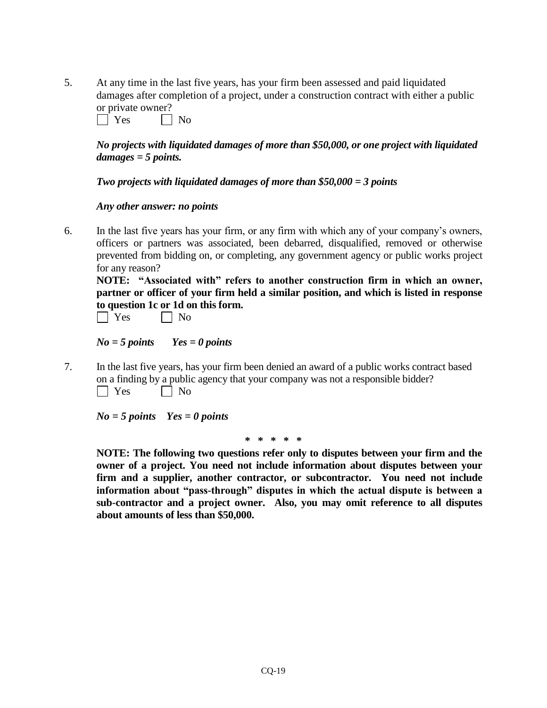5. At any time in the last five years, has your firm been assessed and paid liquidated damages after completion of a project, under a construction contract with either a public or private owner?

 $\Box$  Yes  $\Box$  No

## *No projects with liquidated damages of more than \$50,000, or one project with liquidated damages = 5 points.*

### *Two projects with liquidated damages of more than \$50,000 = 3 points*

### *Any other answer: no points*

6. In the last five years has your firm, or any firm with which any of your company's owners, officers or partners was associated, been debarred, disqualified, removed or otherwise prevented from bidding on, or completing, any government agency or public works project for any reason?

**NOTE: "Associated with" refers to another construction firm in which an owner, partner or officer of your firm held a similar position, and which is listed in response to question 1c or 1d on this form.**

| Y<br>es | No. |
|---------|-----|
|---------|-----|

*No = 5 points Yes = 0 points*

7. In the last five years, has your firm been denied an award of a public works contract based on a finding by a public agency that your company was not a responsible bidder?  $\Box$  Yes  $\Box$  No

*No = 5 points Yes = 0 points*

**\* \* \* \* \***

**NOTE: The following two questions refer only to disputes between your firm and the owner of a project. You need not include information about disputes between your firm and a supplier, another contractor, or subcontractor. You need not include information about "pass-through" disputes in which the actual dispute is between a sub-contractor and a project owner. Also, you may omit reference to all disputes about amounts of less than \$50,000.**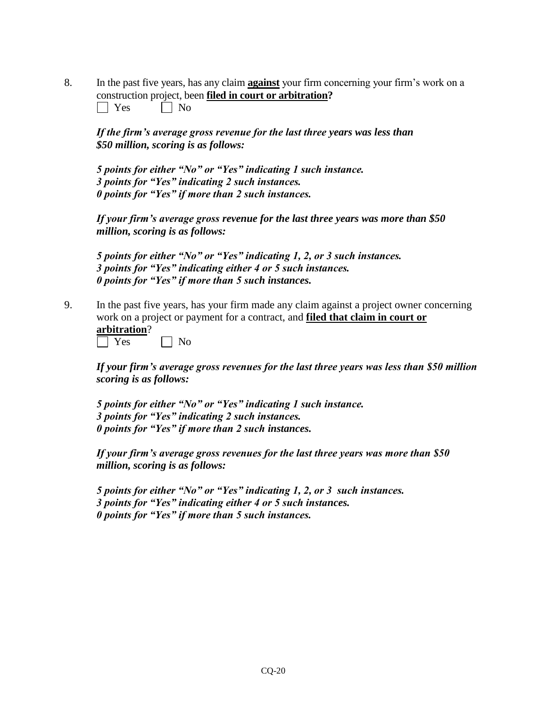8. In the past five years, has any claim **against** your firm concerning your firm's work on a construction project, been **filed in court or arbitration?**

|  | эs |  | Nο |
|--|----|--|----|
|--|----|--|----|

*If the firm's average gross revenue for the last three years was less than \$50 million, scoring is as follows:*

*5 points for either "No" or "Yes" indicating 1 such instance. 3 points for "Yes" indicating 2 such instances. 0 points for "Yes" if more than 2 such instances.*

*If your firm's average gross revenue for the last three years was more than \$50 million, scoring is as follows:*

*5 points for either "No" or "Yes" indicating 1, 2, or 3 such instances. 3 points for "Yes" indicating either 4 or 5 such instances. 0 points for "Yes" if more than 5 such instances.*

9. In the past five years, has your firm made any claim against a project owner concerning work on a project or payment for a contract, and **filed that claim in court or arbitration**?

 $\exists$  Yes  $\Box$  No

*If your firm's average gross revenues for the last three years was less than \$50 million scoring is as follows:*

*5 points for either "No" or "Yes" indicating 1 such instance. 3 points for "Yes" indicating 2 such instances. 0 points for "Yes" if more than 2 such instances.*

*If your firm's average gross revenues for the last three years was more than \$50 million, scoring is as follows:*

*5 points for either "No" or "Yes" indicating 1, 2, or 3 such instances. 3 points for "Yes" indicating either 4 or 5 such instances. 0 points for "Yes" if more than 5 such instances.*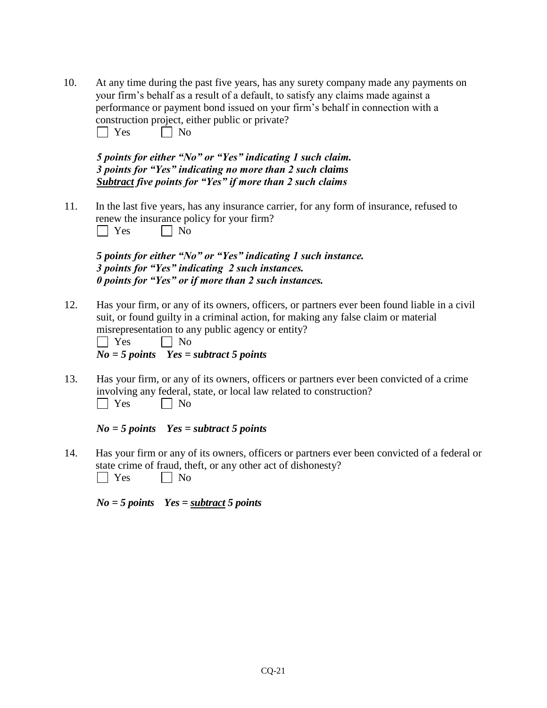10. At any time during the past five years, has any surety company made any payments on your firm's behalf as a result of a default, to satisfy any claims made against a performance or payment bond issued on your firm's behalf in connection with a construction project, either public or private?  $\Box$  Yes  $\Box$  No

*5 points for either "No" or "Yes" indicating 1 such claim. 3 points for "Yes" indicating no more than 2 such claims Subtract five points for "Yes" if more than 2 such claims*

11. In the last five years, has any insurance carrier, for any form of insurance, refused to renew the insurance policy for your firm?  $\Box$  Yes  $\Box$  No

*5 points for either "No" or "Yes" indicating 1 such instance. 3 points for "Yes" indicating 2 such instances. 0 points for "Yes" or if more than 2 such instances.*

12. Has your firm, or any of its owners, officers, or partners ever been found liable in a civil suit, or found guilty in a criminal action, for making any false claim or material misrepresentation to any public agency or entity?

| Yes                     | $\vert$   No                |
|-------------------------|-----------------------------|
| $N_{\alpha} = 5$ noints | $V_{\alpha\alpha} = \alpha$ |

*No = 5 points Yes = subtract 5 points*

13. Has your firm, or any of its owners, officers or partners ever been convicted of a crime involving any federal, state, or local law related to construction?  $\Box$  Yes  $\Box$  No

*No = 5 points Yes = subtract 5 points*

14. Has your firm or any of its owners, officers or partners ever been convicted of a federal or state crime of fraud, theft, or any other act of dishonesty?

 $\Box$  Yes  $\Box$  No

*No = 5 points Yes = subtract 5 points*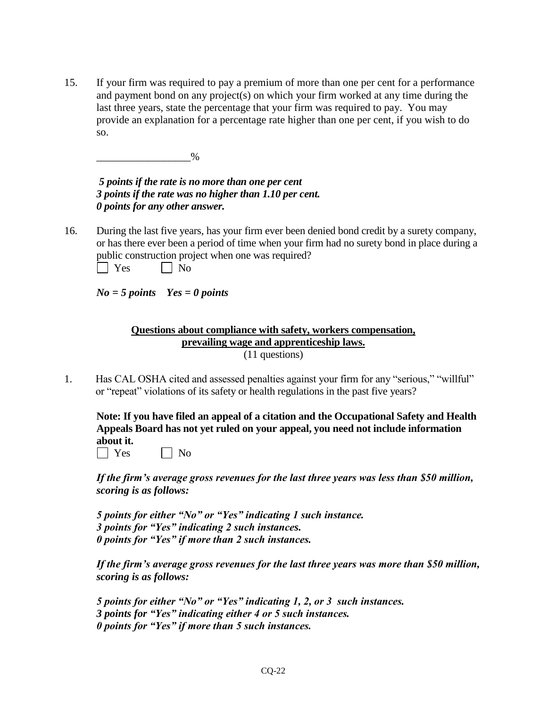15. If your firm was required to pay a premium of more than one per cent for a performance and payment bond on any project(s) on which your firm worked at any time during the last three years, state the percentage that your firm was required to pay. You may provide an explanation for a percentage rate higher than one per cent, if you wish to do so.

\_\_\_\_\_\_\_\_\_\_\_\_\_\_\_\_\_\_%

*5 points if the rate is no more than one per cent 3 points if the rate was no higher than 1.10 per cent. 0 points for any other answer.* 

16. During the last five years, has your firm ever been denied bond credit by a surety company, or has there ever been a period of time when your firm had no surety bond in place during a public construction project when one was required?

| эs |  | Nο |
|----|--|----|
|----|--|----|

*No = 5 points Yes = 0 points*

#### **Questions about compliance with safety, workers compensation, prevailing wage and apprenticeship laws.** (11 questions)

1. Has CAL OSHA cited and assessed penalties against your firm for any "serious," "willful" or "repeat" violations of its safety or health regulations in the past five years?

**Note: If you have filed an appeal of a citation and the Occupational Safety and Health Appeals Board has not yet ruled on your appeal, you need not include information about it.**

 $\Box$  Yes  $\Box$  No

*If the firm's average gross revenues for the last three years was less than \$50 million, scoring is as follows:*

*5 points for either "No" or "Yes" indicating 1 such instance. 3 points for "Yes" indicating 2 such instances. 0 points for "Yes" if more than 2 such instances.*

*If the firm's average gross revenues for the last three years was more than \$50 million, scoring is as follows:*

```
5 points for either "No" or "Yes" indicating 1, 2, or 3 such instances.
3 points for "Yes" indicating either 4 or 5 such instances. 
0 points for "Yes" if more than 5 such instances.
```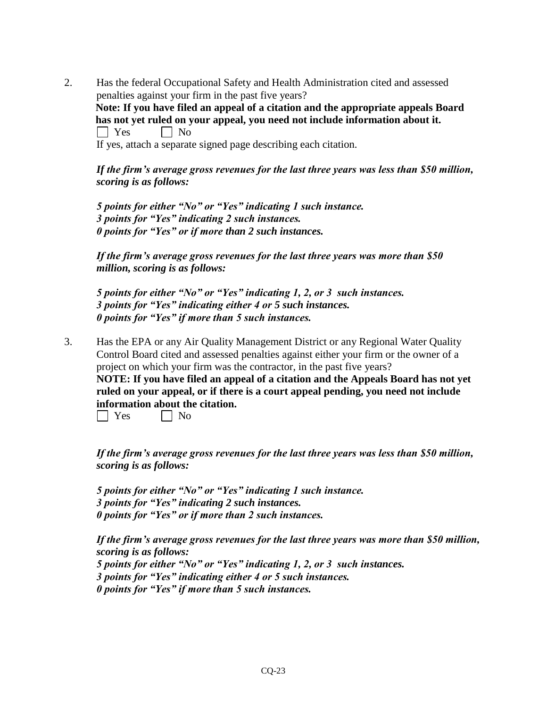2. Has the federal Occupational Safety and Health Administration cited and assessed penalties against your firm in the past five years? **Note: If you have filed an appeal of a citation and the appropriate appeals Board has not yet ruled on your appeal, you need not include information about it.**  $\Box$  Yes  $\Box$  No If yes, attach a separate signed page describing each citation.

*If the firm's average gross revenues for the last three years was less than \$50 million, scoring is as follows:*

*5 points for either "No" or "Yes" indicating 1 such instance. 3 points for "Yes" indicating 2 such instances. 0 points for "Yes" or if more than 2 such instances.*

*If the firm's average gross revenues for the last three years was more than \$50 million, scoring is as follows:*

*5 points for either "No" or "Yes" indicating 1, 2, or 3 such instances. 3 points for "Yes" indicating either 4 or 5 such instances. 0 points for "Yes" if more than 5 such instances.*

3. Has the EPA or any Air Quality Management District or any Regional Water Quality Control Board cited and assessed penalties against either your firm or the owner of a project on which your firm was the contractor, in the past five years? **NOTE: If you have filed an appeal of a citation and the Appeals Board has not yet** 

**ruled on your appeal, or if there is a court appeal pending, you need not include information about the citation.**

No No

*If the firm's average gross revenues for the last three years was less than \$50 million, scoring is as follows:*

*5 points for either "No" or "Yes" indicating 1 such instance. 3 points for "Yes" indicating 2 such instances. 0 points for "Yes" or if more than 2 such instances.*

*If the firm's average gross revenues for the last three years was more than \$50 million, scoring is as follows:*

*5 points for either "No" or "Yes" indicating 1, 2, or 3 such instances. 3 points for "Yes" indicating either 4 or 5 such instances. 0 points for "Yes" if more than 5 such instances.*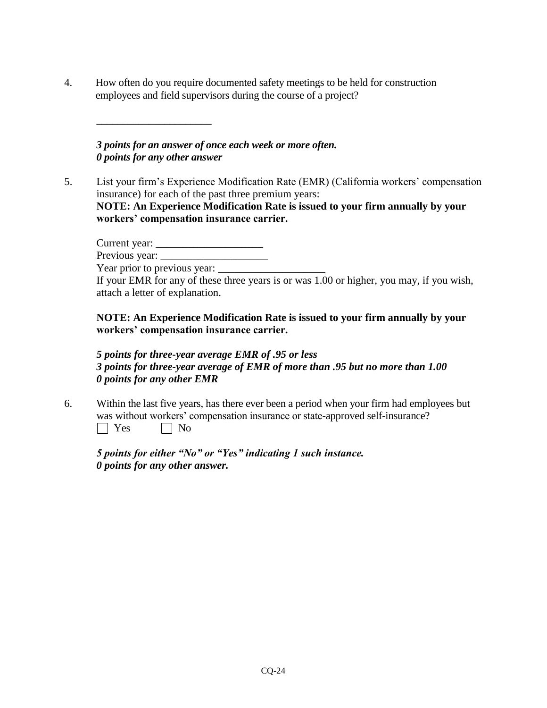4. How often do you require documented safety meetings to be held for construction employees and field supervisors during the course of a project?

*3 points for an answer of once each week or more often. 0 points for any other answer*

 $\overline{\phantom{a}}$  , where  $\overline{\phantom{a}}$  , where  $\overline{\phantom{a}}$  , where  $\overline{\phantom{a}}$ 

5. List your firm's Experience Modification Rate (EMR) (California workers' compensation insurance) for each of the past three premium years: **NOTE: An Experience Modification Rate is issued to your firm annually by your workers' compensation insurance carrier.**

Current year: \_\_\_\_\_\_\_\_\_\_\_\_\_\_\_\_\_\_\_\_ Previous year: Year prior to previous year:

If your EMR for any of these three years is or was 1.00 or higher, you may, if you wish, attach a letter of explanation.

**NOTE: An Experience Modification Rate is issued to your firm annually by your workers' compensation insurance carrier.** 

*5 points for three-year average EMR of .95 or less 3 points for three-year average of EMR of more than .95 but no more than 1.00 0 points for any other EMR*

6. Within the last five years, has there ever been a period when your firm had employees but was without workers' compensation insurance or state-approved self-insurance?  $\Box$  Yes  $\Box$  No

*5 points for either "No" or "Yes" indicating 1 such instance. 0 points for any other answer.*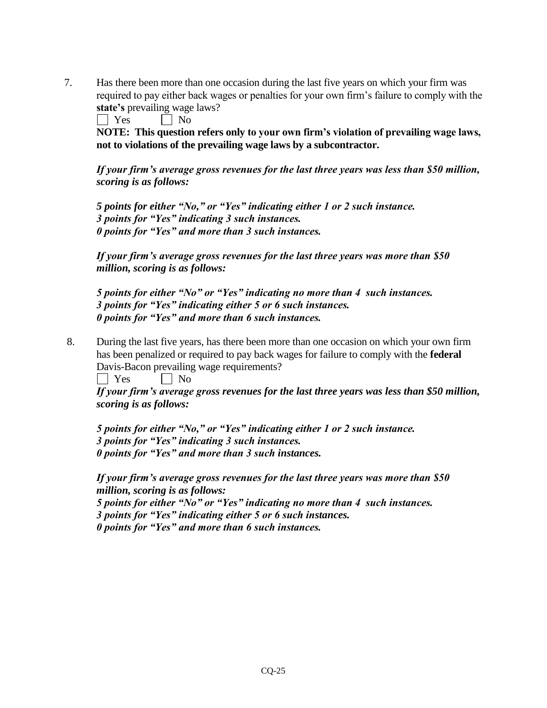7. Has there been more than one occasion during the last five years on which your firm was required to pay either back wages or penalties for your own firm's failure to comply with the **state's** prevailing wage laws?

 $\Box$  Yes  $\Box$  No

**NOTE: This question refers only to your own firm's violation of prevailing wage laws, not to violations of the prevailing wage laws by a subcontractor.** 

*If your firm's average gross revenues for the last three years was less than \$50 million, scoring is as follows:*

*5 points for either "No," or "Yes" indicating either 1 or 2 such instance. 3 points for "Yes" indicating 3 such instances. 0 points for "Yes" and more than 3 such instances.*

*If your firm's average gross revenues for the last three years was more than \$50 million, scoring is as follows:*

*5 points for either "No" or "Yes" indicating no more than 4 such instances. 3 points for "Yes" indicating either 5 or 6 such instances. 0 points for "Yes" and more than 6 such instances.*

8. During the last five years, has there been more than one occasion on which your own firm has been penalized or required to pay back wages for failure to comply with the **federal** Davis-Bacon prevailing wage requirements?

 $\Box$  Yes  $\Box$  No

*If your firm's average gross revenues for the last three years was less than \$50 million, scoring is as follows:*

*5 points for either "No," or "Yes" indicating either 1 or 2 such instance. 3 points for "Yes" indicating 3 such instances. 0 points for "Yes" and more than 3 such instances.*

*If your firm's average gross revenues for the last three years was more than \$50 million, scoring is as follows:*

*5 points for either "No" or "Yes" indicating no more than 4 such instances. 3 points for "Yes" indicating either 5 or 6 such instances. 0 points for "Yes" and more than 6 such instances.*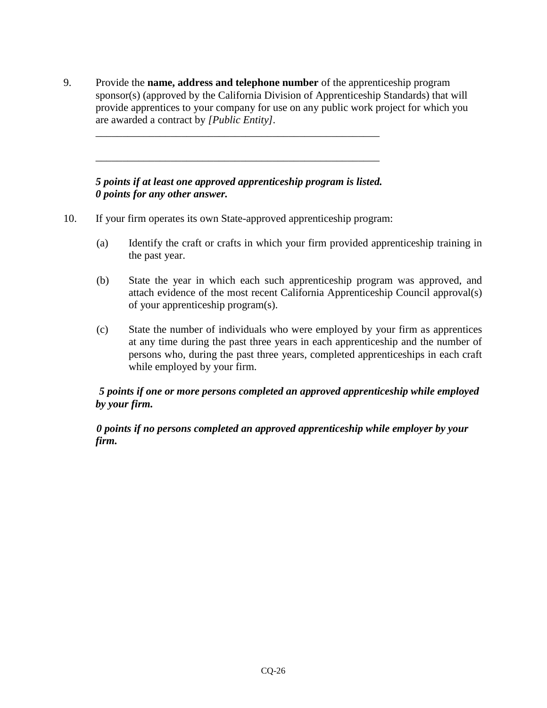9. Provide the **name, address and telephone number** of the apprenticeship program sponsor(s) (approved by the California Division of Apprenticeship Standards) that will provide apprentices to your company for use on any public work project for which you are awarded a contract by *[Public Entity].*

## *5 points if at least one approved apprenticeship program is listed. 0 points for any other answer.*

\_\_\_\_\_\_\_\_\_\_\_\_\_\_\_\_\_\_\_\_\_\_\_\_\_\_\_\_\_\_\_\_\_\_\_\_\_\_\_\_\_\_\_\_\_\_\_\_\_\_\_\_\_

\_\_\_\_\_\_\_\_\_\_\_\_\_\_\_\_\_\_\_\_\_\_\_\_\_\_\_\_\_\_\_\_\_\_\_\_\_\_\_\_\_\_\_\_\_\_\_\_\_\_\_\_\_

- 10. If your firm operates its own State-approved apprenticeship program:
	- (a) Identify the craft or crafts in which your firm provided apprenticeship training in the past year.
	- (b) State the year in which each such apprenticeship program was approved, and attach evidence of the most recent California Apprenticeship Council approval(s) of your apprenticeship program(s).
	- (c) State the number of individuals who were employed by your firm as apprentices at any time during the past three years in each apprenticeship and the number of persons who, during the past three years, completed apprenticeships in each craft while employed by your firm.

## *5 points if one or more persons completed an approved apprenticeship while employed by your firm.*

## *0 points if no persons completed an approved apprenticeship while employer by your firm.*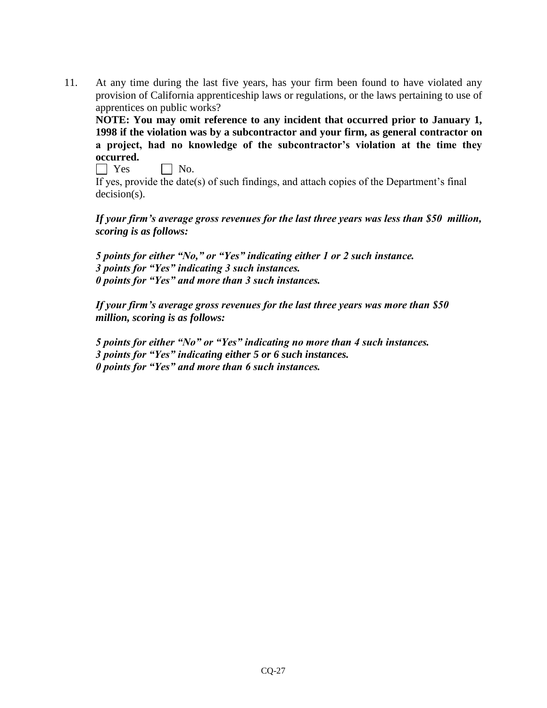11. At any time during the last five years, has your firm been found to have violated any provision of California apprenticeship laws or regulations, or the laws pertaining to use of apprentices on public works?

**NOTE: You may omit reference to any incident that occurred prior to January 1, 1998 if the violation was by a subcontractor and your firm, as general contractor on a project, had no knowledge of the subcontractor's violation at the time they occurred.** 

 $\Box$  Yes  $\Box$  No.

If yes, provide the date(s) of such findings, and attach copies of the Department's final decision(s).

*If your firm's average gross revenues for the last three years was less than \$50 million, scoring is as follows:*

*5 points for either "No," or "Yes" indicating either 1 or 2 such instance. 3 points for "Yes" indicating 3 such instances. 0 points for "Yes" and more than 3 such instances.*

*If your firm's average gross revenues for the last three years was more than \$50 million, scoring is as follows:*

*5 points for either "No" or "Yes" indicating no more than 4 such instances. 3 points for "Yes" indicating either 5 or 6 such instances. 0 points for "Yes" and more than 6 such instances.*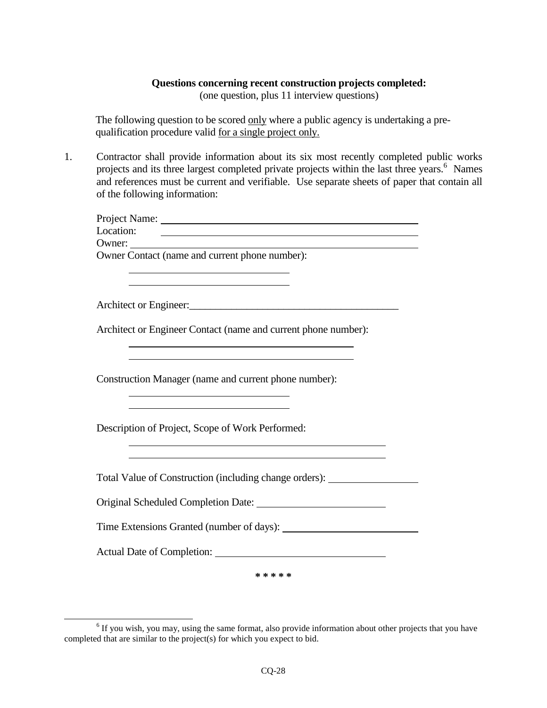#### **Questions concerning recent construction projects completed:**

(one question, plus 11 interview questions)

The following question to be scored only where a public agency is undertaking a prequalification procedure valid for a single project only.

1. Contractor shall provide information about its six most recently completed public works projects and its three largest completed private projects within the last three years.<sup>6</sup> Names and references must be current and verifiable. Use separate sheets of paper that contain all of the following information:

| Project Name: |                                                |
|---------------|------------------------------------------------|
| Location:     |                                                |
| Owner:        |                                                |
|               | Owner Contact (name and current phone number): |
|               |                                                |

Architect or Engineer:\_\_\_\_\_\_\_\_\_\_\_\_\_\_\_\_\_\_\_\_\_\_\_\_\_\_\_\_\_\_\_\_\_\_\_\_\_\_\_\_

 $\overline{a}$ 

Architect or Engineer Contact (name and current phone number):

Construction Manager (name and current phone number):

Description of Project, Scope of Work Performed:

Total Value of Construction (including change orders):

Original Scheduled Completion Date:

Time Extensions Granted (number of days):

Actual Date of Completion:

**\* \* \* \* \***

 $6$  If you wish, you may, using the same format, also provide information about other projects that you have completed that are similar to the project(s) for which you expect to bid.